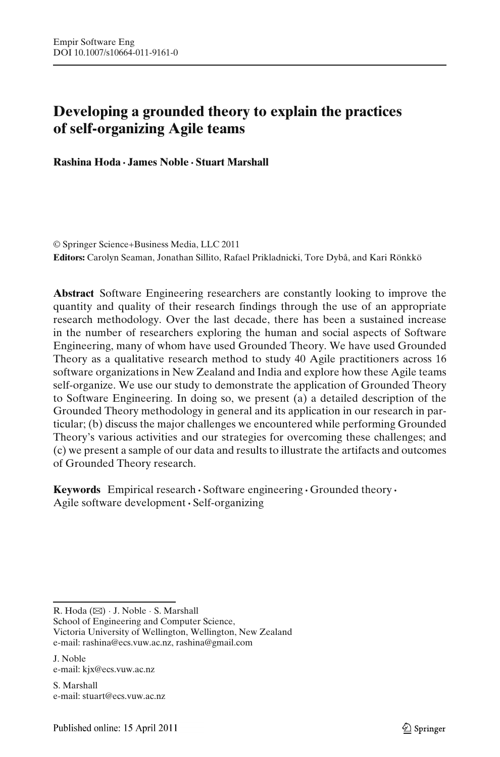# **Developing a grounded theory to explain the practices of self-organizing Agile teams**

**Rashina Hoda · James Noble · Stuart Marshall**

© Springer Science+Business Media, LLC 2011 **Editors:** Carolyn Seaman, Jonathan Sillito, Rafael Prikladnicki, Tore Dybå, and Kari Rönkkö

**Abstract** Software Engineering researchers are constantly looking to improve the quantity and quality of their research findings through the use of an appropriate research methodology. Over the last decade, there has been a sustained increase in the number of researchers exploring the human and social aspects of Software Engineering, many of whom have used Grounded Theory. We have used Grounded Theory as a qualitative research method to study 40 Agile practitioners across 16 software organizations in New Zealand and India and explore how these Agile teams self-organize. We use our study to demonstrate the application of Grounded Theory to Software Engineering. In doing so, we present (a) a detailed description of the Grounded Theory methodology in general and its application in our research in particular; (b) discuss the major challenges we encountered while performing Grounded Theory's various activities and our strategies for overcoming these challenges; and (c) we present a sample of our data and results to illustrate the artifacts and outcomes of Grounded Theory research.

**Keywords** Empirical research **·** Software engineering **·** Grounded theory **·** Agile software development**·** Self-organizing

School of Engineering and Computer Science,

- J. Noble e-mail: kjx@ecs.vuw.ac.nz
- S. Marshall e-mail: stuart@ecs.vuw.ac.nz

R. Hoda ( $\boxtimes$ ) · J. Noble · S. Marshall

Victoria University of Wellington, Wellington, New Zealand e-mail: rashina@ecs.vuw.ac.nz, rashina@gmail.com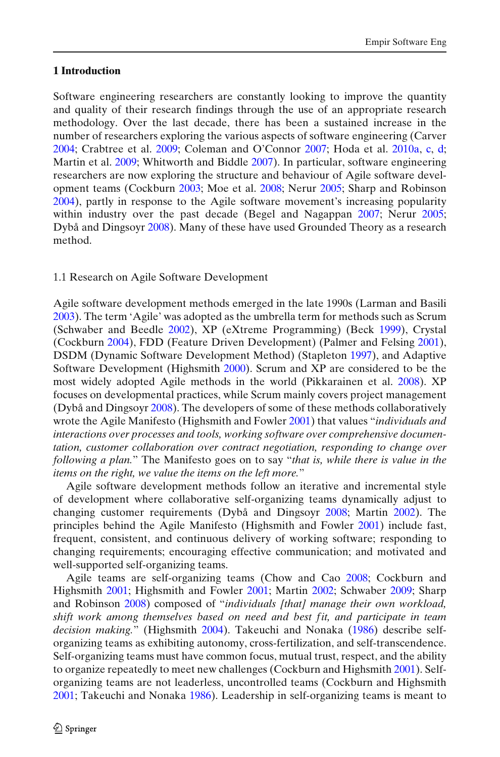# **1 Introduction**

Software engineering researchers are constantly looking to improve the quantity and quality of their research findings through the use of an appropriate research methodology. Over the last decade, there has been a sustained increase in the number of researchers exploring the various aspects of software engineering (Carve[r](#page-27-0) [2004;](#page-27-0) Crabtree et al[.](#page-27-0) [2009](#page-27-0); Coleman and O'Conno[r](#page-27-0) [2007](#page-27-0); Hoda et al[.](#page-28-0) [2010a,](#page-28-0) [c,](#page-28-0) [d;](#page-28-0) Martin et al[.](#page-28-0) [2009](#page-28-0); Whitworth and Biddl[e](#page-28-0) [2007](#page-28-0)). In particular, software engineering researchers are now exploring the structure and behaviour of Agile software development teams (Cockbur[n](#page-27-0) [2003;](#page-27-0) Moe et al[.](#page-28-0) [2008;](#page-28-0) Neru[r](#page-28-0) [2005;](#page-28-0) Sharp and Robinso[n](#page-28-0) [2004\)](#page-28-0), partly in response to the Agile software movement's increasing popularity within industry over the past decade (Begel and Nagappa[n](#page-27-0) [2007;](#page-27-0) Neru[r](#page-28-0) [2005](#page-28-0); Dybå and Dingsoy[r](#page-27-0) [2008](#page-27-0)). Many of these have used Grounded Theory as a research method.

# 1.1 Research on Agile Software Development

Agile software development methods emerged in the late 1990s (Larman and Basil[i](#page-28-0) [2003\)](#page-28-0). The term 'Agile' was adopted as the umbrella term for methods such as Scrum (Schwaber and Beedl[e](#page-28-0) [2002](#page-28-0)), XP (eXtreme Programming) (Bec[k](#page-27-0) [1999\)](#page-27-0), Crystal (Cockbur[n](#page-27-0) [2004\)](#page-27-0), FDD (Feature Driven Development) (Palmer and Felsin[g](#page-28-0) [2001\)](#page-28-0), DSDM (Dynamic Software Development Method) (Stapleto[n](#page-28-0) [1997](#page-28-0)), and Adaptive Software Development (Highsmit[h](#page-27-0) [2000\)](#page-27-0). Scrum and XP are considered to be the most widely adopted Agile methods in the world (Pikkarainen et al[.](#page-28-0) [2008\)](#page-28-0). XP focuses on developmental practices, while Scrum mainly covers project management (Dybå and Dingsoy[r](#page-27-0) [2008\)](#page-27-0). The developers of some of these methods collaboratively wrote the Agile Manifesto (Highsmith and Fowle[r](#page-28-0) [2001](#page-28-0)) that values "*individuals and interactions over processes and tools, working software over comprehensive documentation, customer collaboration over contract negotiation, responding to change over following a plan.*" The Manifesto goes on to say "*that is, while there is value in the items on the right, we value the items on the left more.*"

Agile software development methods follow an iterative and incremental style of development where collaborative self-organizing teams dynamically adjust to changing customer requirements (Dybå and Dingsoy[r](#page-27-0) [2008](#page-27-0); Marti[n](#page-28-0) [2002](#page-28-0)). The principles behind the Agile Manifesto (Highsmith and Fowle[r](#page-28-0) [2001](#page-28-0)) include fast, frequent, consistent, and continuous delivery of working software; responding to changing requirements; encouraging effective communication; and motivated and well-supported self-organizing teams.

Agile teams are self-organizing teams (Chow and Ca[o](#page-27-0) [2008](#page-27-0); Cockburn and Highsmit[h](#page-27-0) [2001;](#page-27-0) Highsmith and Fowle[r](#page-28-0) [2001](#page-28-0); Marti[n](#page-28-0) [2002](#page-28-0); Schwabe[r](#page-28-0) [2009](#page-28-0); Sharp and Robinso[n](#page-28-0) [2008](#page-28-0)) composed of "*individuals [that] manage their own workload, shift work among themselves based on need and best f it, and participate in team decision making.*" (Highsmit[h](#page-28-0) [2004](#page-28-0)). Takeuchi and Nonak[a](#page-28-0) [\(1986\)](#page-28-0) describe selforganizing teams as exhibiting autonomy, cross-fertilization, and self-transcendence. Self-organizing teams must have common focus, mutual trust, respect, and the ability to organize repeatedly to meet new challenges (Cockburn and Highsmit[h](#page-27-0) [2001\)](#page-27-0). Selforganizing teams are not leaderless, uncontrolled teams (Cockburn and Highsmit[h](#page-27-0) [2001;](#page-27-0) Takeuchi and Nonak[a](#page-28-0) [1986\)](#page-28-0). Leadership in self-organizing teams is meant to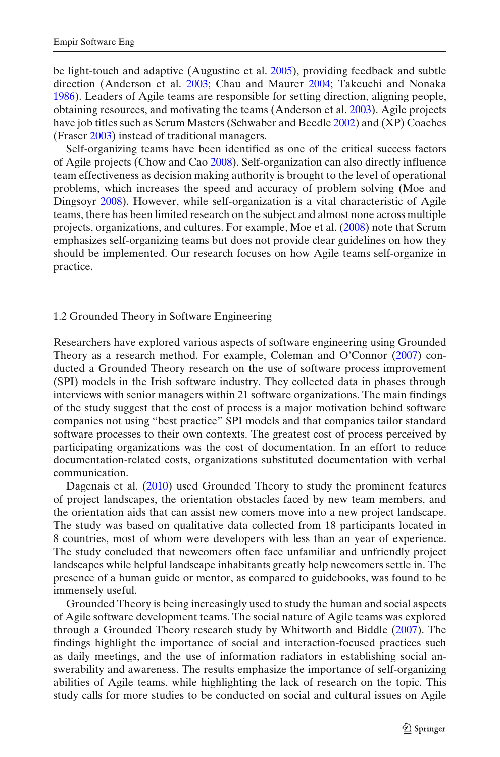be light-touch and adaptive (Augustine et al[.](#page-27-0) [2005](#page-27-0)), providing feedback and subtle direction (Anderson et al. [2003;](#page-27-0) Chau and Maure[r](#page-27-0) [2004](#page-27-0); Takeuchi and Nonak[a](#page-28-0) [1986\)](#page-28-0). Leaders of Agile teams are responsible for setting direction, aligning people, obtaining resources, and motivating the teams (Anderson et al[.](#page-27-0) [2003\)](#page-27-0). Agile projects have job titles such as Scrum Masters (Schwaber and Beedle [2002](#page-28-0)) and (XP) Coaches (Frase[r](#page-27-0) [2003](#page-27-0)) instead of traditional managers.

Self-organizing teams have been identified as one of the critical success factors of Agile projects (Chow and Ca[o](#page-27-0) [2008](#page-27-0)). Self-organization can also directly influence team effectiveness as decision making authority is brought to the level of operational problems, which increases the speed and accuracy of problem solving (Moe and Dingsoy[r](#page-28-0) [2008](#page-28-0)). However, while self-organization is a vital characteristic of Agile teams, there has been limited research on the subject and almost none across multiple projects, organizations, and cultures. For example, Moe et al[.](#page-28-0) [\(2008](#page-28-0)) note that Scrum emphasizes self-organizing teams but does not provide clear guidelines on how they should be implemented. Our research focuses on how Agile teams self-organize in practice.

### 1.2 Grounded Theory in Software Engineering

Researchers have explored various aspects of software engineering using Grounded Theory as a research method. For example, Coleman and O'Conno[r](#page-27-0) [\(2007](#page-27-0)) conducted a Grounded Theory research on the use of software process improvement (SPI) models in the Irish software industry. They collected data in phases through interviews with senior managers within 21 software organizations. The main findings of the study suggest that the cost of process is a major motivation behind software companies not using "best practice" SPI models and that companies tailor standard software processes to their own contexts. The greatest cost of process perceived by participating organizations was the cost of documentation. In an effort to reduce documentation-related costs, organizations substituted documentation with verbal communication.

Dagenais et al[.](#page-27-0) [\(2010\)](#page-27-0) used Grounded Theory to study the prominent features of project landscapes, the orientation obstacles faced by new team members, and the orientation aids that can assist new comers move into a new project landscape. The study was based on qualitative data collected from 18 participants located in 8 countries, most of whom were developers with less than an year of experience. The study concluded that newcomers often face unfamiliar and unfriendly project landscapes while helpful landscape inhabitants greatly help newcomers settle in. The presence of a human guide or mentor, as compared to guidebooks, was found to be immensely useful.

Grounded Theory is being increasingly used to study the human and social aspects of Agile software development teams. The social nature of Agile teams was explored through a Grounded Theory research study by Whitworth and Biddl[e](#page-28-0) [\(2007\)](#page-28-0). The findings highlight the importance of social and interaction-focused practices such as daily meetings, and the use of information radiators in establishing social answerability and awareness. The results emphasize the importance of self-organizing abilities of Agile teams, while highlighting the lack of research on the topic. This study calls for more studies to be conducted on social and cultural issues on Agile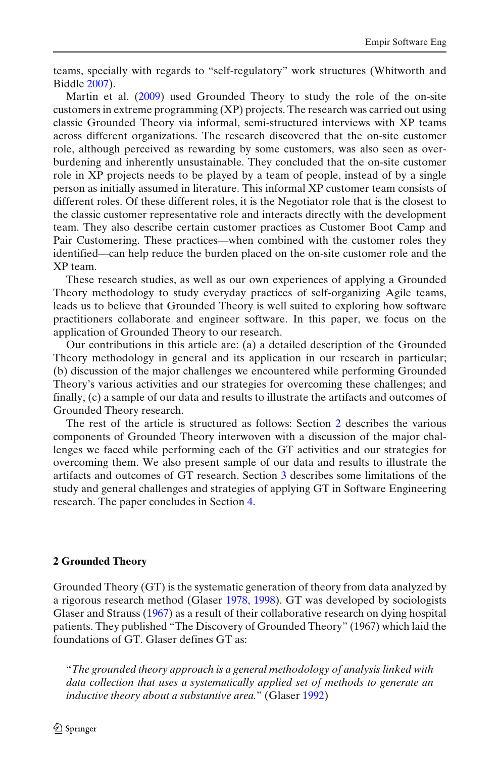teams, specially with regards to "self-regulatory" work structures (Whitworth and Biddl[e](#page-28-0) [2007\)](#page-28-0).

Martin et al[.](#page-28-0) [\(2009\)](#page-28-0) used Grounded Theory to study the role of the on-site customers in extreme programming (XP) projects. The research was carried out using classic Grounded Theory via informal, semi-structured interviews with XP teams across different organizations. The research discovered that the on-site customer role, although perceived as rewarding by some customers, was also seen as overburdening and inherently unsustainable. They concluded that the on-site customer role in XP projects needs to be played by a team of people, instead of by a single person as initially assumed in literature. This informal XP customer team consists of different roles. Of these different roles, it is the Negotiator role that is the closest to the classic customer representative role and interacts directly with the development team. They also describe certain customer practices as Customer Boot Camp and Pair Customering. These practices—when combined with the customer roles they identified—can help reduce the burden placed on the on-site customer role and the XP team.

These research studies, as well as our own experiences of applying a Grounded Theory methodology to study everyday practices of self-organizing Agile teams, leads us to believe that Grounded Theory is well suited to exploring how software practitioners collaborate and engineer software. In this paper, we focus on the application of Grounded Theory to our research.

Our contributions in this article are: (a) a detailed description of the Grounded Theory methodology in general and its application in our research in particular; (b) discussion of the major challenges we encountered while performing Grounded Theory's various activities and our strategies for overcoming these challenges; and finally, (c) a sample of our data and results to illustrate the artifacts and outcomes of Grounded Theory research.

The rest of the article is structured as follows: Section 2 describes the various components of Grounded Theory interwoven with a discussion of the major challenges we faced while performing each of the GT activities and our strategies for overcoming them. We also present sample of our data and results to illustrate the artifacts and outcomes of GT research. Section [3](#page-22-0) describes some limitations of the study and general challenges and strategies of applying GT in Software Engineering research. The paper concludes in Section [4.](#page-25-0)

#### **2 Grounded Theory**

Grounded Theory (GT) is the systematic generation of theory from data analyzed by a rigorous research method (Glase[r](#page-27-0) [1978,](#page-27-0) [1998](#page-27-0)). GT was developed by sociologists Glaser and Straus[s](#page-27-0) [\(1967](#page-27-0)) as a result of their collaborative research on dying hospital patients. They published "The Discovery of Grounded Theory" (1967) which laid the foundations of GT. Glaser defines GT as:

"*The grounded theory approach is a general methodology of analysis linked with data collection that uses a systematically applied set of methods to generate an inductive theory about a substantive area.*" (Glase[r](#page-27-0) [1992](#page-27-0))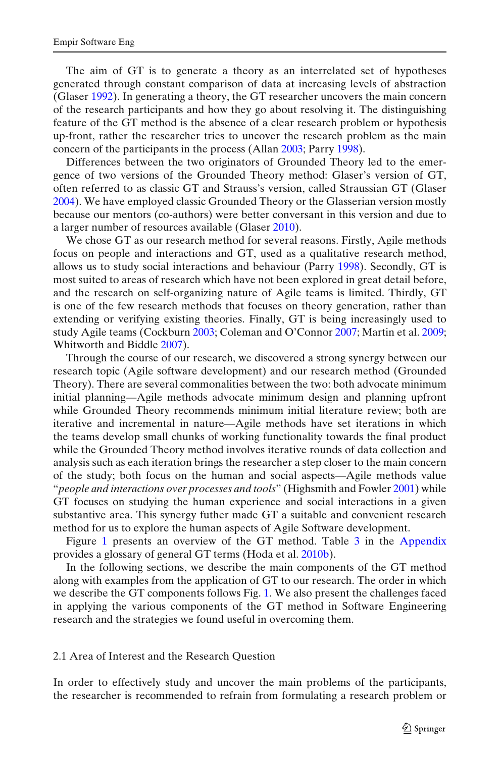The aim of GT is to generate a theory as an interrelated set of hypotheses generated through constant comparison of data at increasing levels of abstraction (Glase[r](#page-27-0) [1992](#page-27-0)). In generating a theory, the GT researcher uncovers the main concern of the research participants and how they go about resolving it. The distinguishing feature of the GT method is the absence of a clear research problem or hypothesis up-front, rather the researcher tries to uncover the research problem as the main concern of the participants in the process (Alla[n](#page-27-0) [2003](#page-27-0); Parr[y](#page-28-0) [1998](#page-28-0)).

Differences between the two originators of Grounded Theory led to the emergence of two versions of the Grounded Theory method: Glaser's version of GT, often referred to as classic GT and Strauss's version, called Straussian GT (Glase[r](#page-27-0) [2004\)](#page-27-0). We have employed classic Grounded Theory or the Glasserian version mostly because our mentors (co-authors) were better conversant in this version and due to a larger number of resources available (Glase[r](#page-27-0) [2010](#page-27-0)).

We chose GT as our research method for several reasons. Firstly, Agile methods focus on people and interactions and GT, used as a qualitative research method, allows us to study social interactions and behaviour (Parr[y](#page-28-0) [1998](#page-28-0)). Secondly, GT is most suited to areas of research which have not been explored in great detail before, and the research on self-organizing nature of Agile teams is limited. Thirdly, GT is one of the few research methods that focuses on theory generation, rather than extending or verifying existing theories. Finally, GT is being increasingly used to study Agile teams (Cockbur[n](#page-27-0) [2003;](#page-27-0) Coleman and O'Conno[r](#page-27-0) [2007;](#page-27-0) Martin et al[.](#page-28-0) [2009](#page-28-0); Whitworth and Biddl[e](#page-28-0) [2007\)](#page-28-0).

Through the course of our research, we discovered a strong synergy between our research topic (Agile software development) and our research method (Grounded Theory). There are several commonalities between the two: both advocate minimum initial planning—Agile methods advocate minimum design and planning upfront while Grounded Theory recommends minimum initial literature review; both are iterative and incremental in nature—Agile methods have set iterations in which the teams develop small chunks of working functionality towards the final product while the Grounded Theory method involves iterative rounds of data collection and analysis such as each iteration brings the researcher a step closer to the main concern of the study; both focus on the human and social aspects—Agile methods value "*people and interactions over processes and tools*" (Highsmith and Fowle[r](#page-28-0) [2001\)](#page-28-0) while GT focuses on studying the human experience and social interactions in a given substantive area. This synergy futher made GT a suitable and convenient research method for us to explore the human aspects of Agile Software development.

Figure [1](#page-5-0) presents an overview of the GT method. Table [3](#page-26-0) in the [Appendix](#page-26-0) provides a glossary of general GT terms (Hoda et al[.](#page-28-0) [2010b](#page-28-0)).

In the following sections, we describe the main components of the GT method along with examples from the application of GT to our research. The order in which we describe the GT components follows Fig. [1.](#page-5-0) We also present the challenges faced in applying the various components of the GT method in Software Engineering research and the strategies we found useful in overcoming them.

#### 2.1 Area of Interest and the Research Question

In order to effectively study and uncover the main problems of the participants, the researcher is recommended to refrain from formulating a research problem or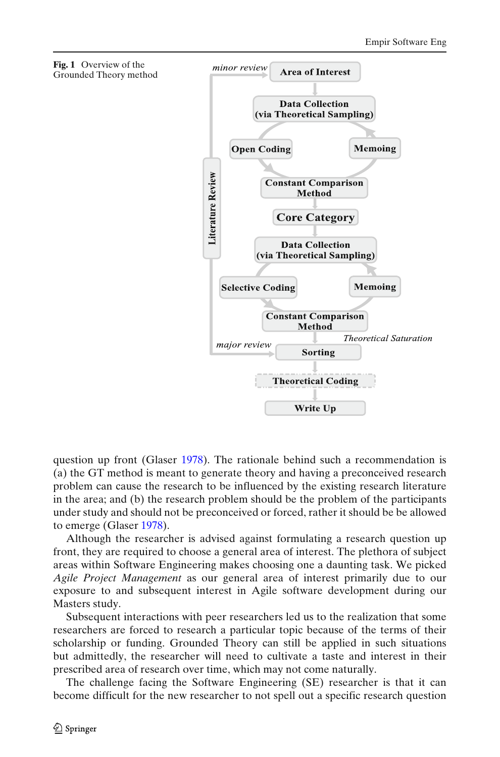<span id="page-5-0"></span>

question up front (Glase[r](#page-27-0) [1978\)](#page-27-0). The rationale behind such a recommendation is (a) the GT method is meant to generate theory and having a preconceived research problem can cause the research to be influenced by the existing research literature in the area; and (b) the research problem should be the problem of the participants under study and should not be preconceived or forced, rather it should be be allowed to emerge (Glase[r](#page-27-0) [1978](#page-27-0)).

Although the researcher is advised against formulating a research question up front, they are required to choose a general area of interest. The plethora of subject areas within Software Engineering makes choosing one a daunting task. We picked *Agile Project Management* as our general area of interest primarily due to our exposure to and subsequent interest in Agile software development during our Masters study.

Subsequent interactions with peer researchers led us to the realization that some researchers are forced to research a particular topic because of the terms of their scholarship or funding. Grounded Theory can still be applied in such situations but admittedly, the researcher will need to cultivate a taste and interest in their prescribed area of research over time, which may not come naturally.

The challenge facing the Software Engineering (SE) researcher is that it can become difficult for the new researcher to not spell out a specific research question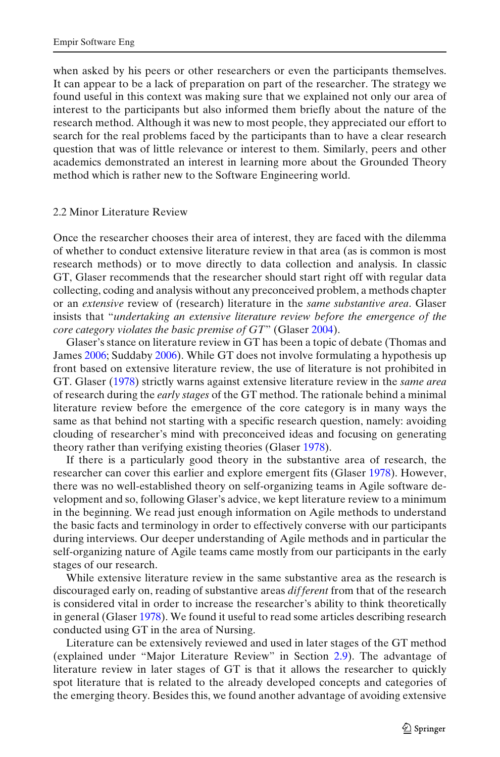when asked by his peers or other researchers or even the participants themselves. It can appear to be a lack of preparation on part of the researcher. The strategy we found useful in this context was making sure that we explained not only our area of interest to the participants but also informed them briefly about the nature of the research method. Although it was new to most people, they appreciated our effort to search for the real problems faced by the participants than to have a clear research question that was of little relevance or interest to them. Similarly, peers and other academics demonstrated an interest in learning more about the Grounded Theory method which is rather new to the Software Engineering world.

### 2.2 Minor Literature Review

Once the researcher chooses their area of interest, they are faced with the dilemma of whether to conduct extensive literature review in that area (as is common is most research methods) or to move directly to data collection and analysis. In classic GT, Glaser recommends that the researcher should start right off with regular data collecting, coding and analysis without any preconceived problem, a methods chapter or an *extensive* review of (research) literature in the *same substantive area*. Glaser insists that "*undertaking an extensive literature review before the emergence of the core category violates the basic premise of GT*" (Glase[r](#page-27-0) [2004](#page-27-0)).

Glaser's stance on literature review in GT has been a topic of debate (Thomas and Jame[s](#page-28-0) [2006](#page-28-0); Suddab[y](#page-28-0) [2006\)](#page-28-0). While GT does not involve formulating a hypothesis up front based on extensive literature review, the use of literature is not prohibited in GT. Glase[r](#page-27-0) [\(1978\)](#page-27-0) strictly warns against extensive literature review in the *same area* of research during the *early stages* of the GT method. The rationale behind a minimal literature review before the emergence of the core category is in many ways the same as that behind not starting with a specific research question, namely: avoiding clouding of researcher's mind with preconceived ideas and focusing on generating theory rather than verifying existing theories (Glase[r](#page-27-0) [1978\)](#page-27-0).

If there is a particularly good theory in the substantive area of research, the [r](#page-27-0)esearcher can cover this earlier and explore emergent fits (Glaser [1978\)](#page-27-0). However, there was no well-established theory on self-organizing teams in Agile software development and so, following Glaser's advice, we kept literature review to a minimum in the beginning. We read just enough information on Agile methods to understand the basic facts and terminology in order to effectively converse with our participants during interviews. Our deeper understanding of Agile methods and in particular the self-organizing nature of Agile teams came mostly from our participants in the early stages of our research.

While extensive literature review in the same substantive area as the research is discouraged early on, reading of substantive areas *dif ferent* from that of the research is considered vital in order to increase the researcher's ability to think theoretically in general (Glase[r](#page-27-0) [1978\)](#page-27-0). We found it useful to read some articles describing research conducted using GT in the area of Nursing.

Literature can be extensively reviewed and used in later stages of the GT method (explained under "Major Literature Review" in Section [2.9\)](#page-19-0). The advantage of literature review in later stages of GT is that it allows the researcher to quickly spot literature that is related to the already developed concepts and categories of the emerging theory. Besides this, we found another advantage of avoiding extensive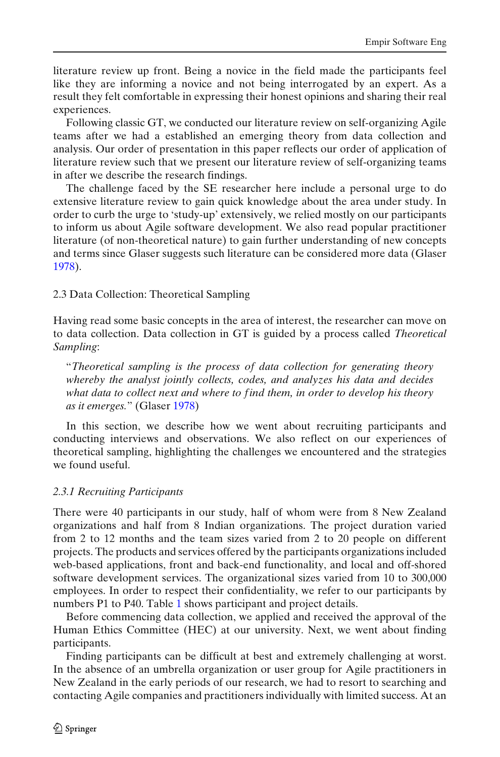literature review up front. Being a novice in the field made the participants feel like they are informing a novice and not being interrogated by an expert. As a result they felt comfortable in expressing their honest opinions and sharing their real experiences.

Following classic GT, we conducted our literature review on self-organizing Agile teams after we had a established an emerging theory from data collection and analysis. Our order of presentation in this paper reflects our order of application of literature review such that we present our literature review of self-organizing teams in after we describe the research findings.

The challenge faced by the SE researcher here include a personal urge to do extensive literature review to gain quick knowledge about the area under study. In order to curb the urge to 'study-up' extensively, we relied mostly on our participants to inform us about Agile software development. We also read popular practitioner literature (of non-theoretical nature) to gain further understanding of new concepts and terms since Glaser suggests such literature can be considered more data (Glase[r](#page-27-0) [1978\)](#page-27-0).

### 2.3 Data Collection: Theoretical Sampling

Having read some basic concepts in the area of interest, the researcher can move on to data collection. Data collection in GT is guided by a process called *Theoretical Sampling*:

"*Theoretical sampling is the process of data collection for generating theory whereby the analyst jointly collects, codes, and analyzes his data and decides what data to collect next and where to f ind them, in order to develop his theory as it emerges.*" (Glase[r](#page-27-0) [1978](#page-27-0))

In this section, we describe how we went about recruiting participants and conducting interviews and observations. We also reflect on our experiences of theoretical sampling, highlighting the challenges we encountered and the strategies we found useful.

### *2.3.1 Recruiting Participants*

There were 40 participants in our study, half of whom were from 8 New Zealand organizations and half from 8 Indian organizations. The project duration varied from 2 to 12 months and the team sizes varied from 2 to 20 people on different projects. The products and services offered by the participants organizations included web-based applications, front and back-end functionality, and local and off-shored software development services. The organizational sizes varied from 10 to 300,000 employees. In order to respect their confidentiality, we refer to our participants by numbers P[1](#page-8-0) to P40. Table 1 shows participant and project details.

Before commencing data collection, we applied and received the approval of the Human Ethics Committee (HEC) at our university. Next, we went about finding participants.

Finding participants can be difficult at best and extremely challenging at worst. In the absence of an umbrella organization or user group for Agile practitioners in New Zealand in the early periods of our research, we had to resort to searching and contacting Agile companies and practitioners individually with limited success. At an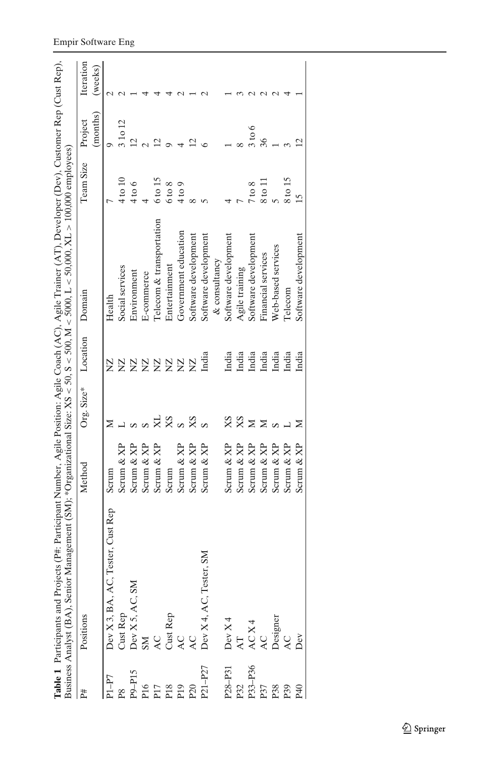<span id="page-8-0"></span>

|                 | Table 1 Participants and Projects (P#: Participant Number, Agile Position: Agile Coach (AC), Agile Trainer (AT), Developer (Dev), Customer Rep (Cust Rep),<br>Business Analyst (BA), Senior Management (SM); *Organizational Size: XS < 500, S < 5000, L < 50,000, XL > 100,000 employees) |            |            |               |                          |                   |                          |           |
|-----------------|--------------------------------------------------------------------------------------------------------------------------------------------------------------------------------------------------------------------------------------------------------------------------------------------|------------|------------|---------------|--------------------------|-------------------|--------------------------|-----------|
| P#              | Positions                                                                                                                                                                                                                                                                                  | Method     | Org. Size* | Location      | Domain                   | Team Size         | Project                  | Iteration |
|                 |                                                                                                                                                                                                                                                                                            |            |            |               |                          |                   | (months)                 | (weeks)   |
| P1-P7           | Dev X 3, BA, AC, Tester, Cust Rep                                                                                                                                                                                                                                                          | Scrum      | ⋝          |               | Health                   |                   |                          |           |
|                 | Cust Rep                                                                                                                                                                                                                                                                                   | Scrum & XP |            |               | Social services          | 4 to 10           | 31012                    |           |
| P9-P15          | Dev X5, AC, SM                                                                                                                                                                                                                                                                             | Scrum & XP |            | $\frac{N}{Z}$ | Environment              | 4 to 6            |                          |           |
| P <sub>16</sub> | SM<br>AC                                                                                                                                                                                                                                                                                   | Scrum & XP |            | $\frac{N}{Z}$ | E-commerce               |                   |                          |           |
| P <sub>17</sub> |                                                                                                                                                                                                                                                                                            | Scrum & XP | R          | $\Sigma$      | Telecom & transportation | 6 to 15           | $\mathbf{\Omega}$        |           |
| P18             | Cust Rep                                                                                                                                                                                                                                                                                   | Scrum      | XS         | $\Sigma$      | Entertainment            | $6 \text{ to } 8$ |                          |           |
| P19             | AC                                                                                                                                                                                                                                                                                         | Scrum & XP |            | $\Sigma$      | Government education     | 4 to 9            |                          |           |
| P20             |                                                                                                                                                                                                                                                                                            | Scrum & XP | $_{\rm x}$ | $\Sigma$      | Software development     |                   |                          |           |
| P21-P27         | MS<br>Dev X 4, AC, Tester,                                                                                                                                                                                                                                                                 | Scrum & XP |            | India         | Software development     |                   |                          |           |
|                 |                                                                                                                                                                                                                                                                                            |            |            |               | & consultancy            |                   |                          |           |
| P28-P31         | Dev $X4$                                                                                                                                                                                                                                                                                   | Scrum & XP | XS         | India         | Software development     |                   |                          |           |
| P32             | AT                                                                                                                                                                                                                                                                                         | Scrum & XP |            | India         | Agile training           |                   |                          |           |
| P33-P36         | ACX4<br>AC                                                                                                                                                                                                                                                                                 | Scrum & XP |            | India         | Software development     | 7 to 8            | $3 \text{ to } 6$        |           |
| P <sub>37</sub> |                                                                                                                                                                                                                                                                                            | Scrum & XP |            | India         | Financial services       | 8 to 11           | $\frac{36}{5}$           |           |
| P <sub>38</sub> | Designer                                                                                                                                                                                                                                                                                   | Scrum & XP |            | India         | Web-based services       |                   |                          |           |
| P <sub>39</sub> | $\overline{A}$                                                                                                                                                                                                                                                                             | Scrum & XP |            | India         | Telecom                  | 8 to 15           |                          |           |
| <b>P40</b>      | Dev                                                                                                                                                                                                                                                                                        | Scrum & XP | ⋝          | India         | Software development     | $\frac{5}{2}$     | $\overline{\mathcal{C}}$ |           |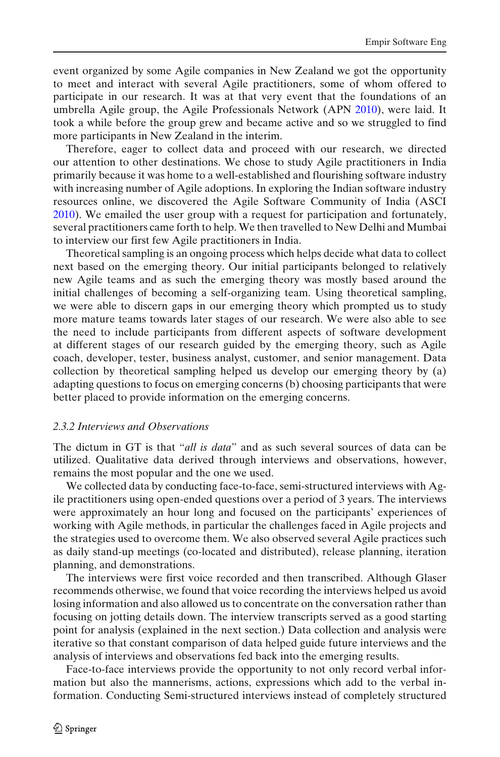event organized by some Agile companies in New Zealand we got the opportunity to meet and interact with several Agile practitioners, some of whom offered to participate in our research. It was at that very event that the foundations of an umbrella Agile group, the Agile Professionals Network (AP[N](#page-27-0) [2010\)](#page-27-0), were laid. It took a while before the group grew and became active and so we struggled to find more participants in New Zealand in the interim.

Therefore, eager to collect data and proceed with our research, we directed our attention to other destinations. We chose to study Agile practitioners in India primarily because it was home to a well-established and flourishing software industry with increasing number of Agile adoptions. In exploring the Indian software industry resources online, we discovered the Agile Software Community of India (ASC[I](#page-27-0) [2010\)](#page-27-0). We emailed the user group with a request for participation and fortunately, several practitioners came forth to help. We then travelled to New Delhi and Mumbai to interview our first few Agile practitioners in India.

Theoretical sampling is an ongoing process which helps decide what data to collect next based on the emerging theory. Our initial participants belonged to relatively new Agile teams and as such the emerging theory was mostly based around the initial challenges of becoming a self-organizing team. Using theoretical sampling, we were able to discern gaps in our emerging theory which prompted us to study more mature teams towards later stages of our research. We were also able to see the need to include participants from different aspects of software development at different stages of our research guided by the emerging theory, such as Agile coach, developer, tester, business analyst, customer, and senior management. Data collection by theoretical sampling helped us develop our emerging theory by (a) adapting questions to focus on emerging concerns (b) choosing participants that were better placed to provide information on the emerging concerns.

### *2.3.2 Interviews and Observations*

The dictum in GT is that "*all is data*" and as such several sources of data can be utilized. Qualitative data derived through interviews and observations, however, remains the most popular and the one we used.

We collected data by conducting face-to-face, semi-structured interviews with Agile practitioners using open-ended questions over a period of 3 years. The interviews were approximately an hour long and focused on the participants' experiences of working with Agile methods, in particular the challenges faced in Agile projects and the strategies used to overcome them. We also observed several Agile practices such as daily stand-up meetings (co-located and distributed), release planning, iteration planning, and demonstrations.

The interviews were first voice recorded and then transcribed. Although Glaser recommends otherwise, we found that voice recording the interviews helped us avoid losing information and also allowed us to concentrate on the conversation rather than focusing on jotting details down. The interview transcripts served as a good starting point for analysis (explained in the next section.) Data collection and analysis were iterative so that constant comparison of data helped guide future interviews and the analysis of interviews and observations fed back into the emerging results.

Face-to-face interviews provide the opportunity to not only record verbal information but also the mannerisms, actions, expressions which add to the verbal information. Conducting Semi-structured interviews instead of completely structured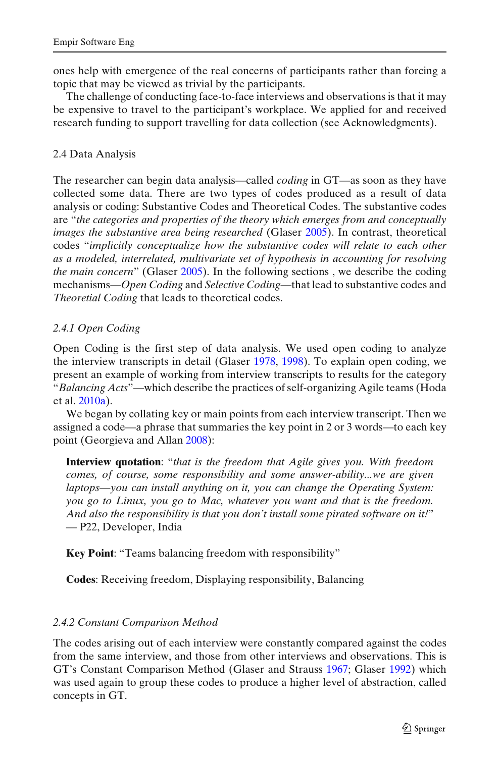<span id="page-10-0"></span>ones help with emergence of the real concerns of participants rather than forcing a topic that may be viewed as trivial by the participants.

The challenge of conducting face-to-face interviews and observations is that it may be expensive to travel to the participant's workplace. We applied for and received research funding to support travelling for data collection (see Acknowledgments).

# 2.4 Data Analysis

The researcher can begin data analysis—called *coding* in GT—as soon as they have collected some data. There are two types of codes produced as a result of data analysis or coding: Substantive Codes and Theoretical Codes. The substantive codes are "*the categories and properties of the theory which emerges from and conceptually images the substantive area being researched* (Glase[r](#page-27-0) [2005\)](#page-27-0). In contrast, theoretical codes "*implicitly conceptualize how the substantive codes will relate to each other as a modeled, interrelated, multivariate set of hypothesis in accounting for resolving the main concern*" (Glase[r](#page-27-0) [2005](#page-27-0)). In the following sections , we describe the coding mechanisms—*Open Coding* and *Selective Coding*—that lead to substantive codes and *Theoretial Coding* that leads to theoretical codes.

# *2.4.1 Open Coding*

Open Coding is the first step of data analysis. We used open coding to analyze the interview transcripts in detail (Glase[r](#page-27-0) [1978](#page-27-0), [1998\)](#page-27-0). To explain open coding, we present an example of working from interview transcripts to results for the category "*Balancing Acts*"—which describe the practices of self-organizing Agile teams (Hoda et al[.](#page-28-0) [2010a\)](#page-28-0).

We began by collating key or main points from each interview transcript. Then we assigned a code—a phrase that summaries the key point in 2 or 3 words—to each key point (Georgieva and Alla[n](#page-27-0) [2008](#page-27-0)):

**Interview quotation**: "*that is the freedom that Agile gives you. With freedom comes, of course, some responsibility and some answer-ability...we are given laptops—you can install anything on it, you can change the Operating System: you go to Linux, you go to Mac, whatever you want and that is the freedom. And also the responsibility is that you don't install some pirated software on it!*" — P22, Developer, India

**Key Point**: "Teams balancing freedom with responsibility"

**Codes**: Receiving freedom, Displaying responsibility, Balancing

# *2.4.2 Constant Comparison Method*

The codes arising out of each interview were constantly compared against the codes from the same interview, and those from other interviews and observations. This is GT's Constant Comparison Method (Glaser and Straus[s](#page-27-0) [1967](#page-27-0); Glase[r](#page-27-0) [1992](#page-27-0)) which was used again to group these codes to produce a higher level of abstraction, called concepts in GT.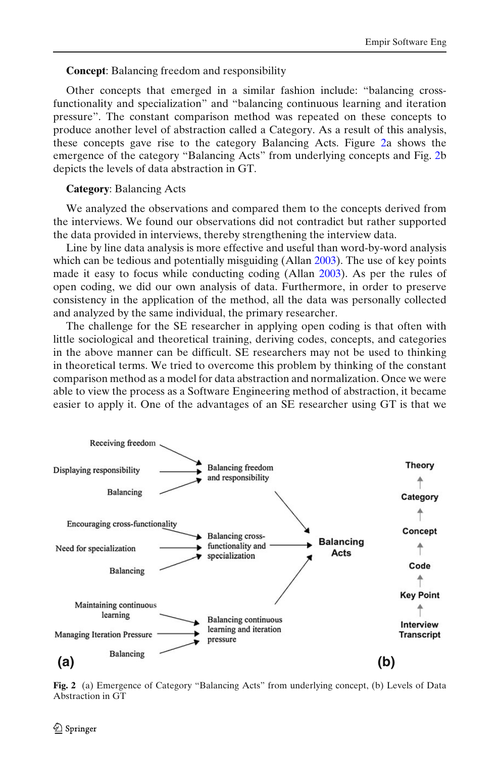### **Concept**: Balancing freedom and responsibility

Other concepts that emerged in a similar fashion include: "balancing crossfunctionality and specialization" and "balancing continuous learning and iteration pressure". The constant comparison method was repeated on these concepts to produce another level of abstraction called a Category. As a result of this analysis, these concepts gave rise to the category Balancing Acts. Figure 2a shows the emergence of the category "Balancing Acts" from underlying concepts and Fig. 2b depicts the levels of data abstraction in GT.

### **Category**: Balancing Acts

We analyzed the observations and compared them to the concepts derived from the interviews. We found our observations did not contradict but rather supported the data provided in interviews, thereby strengthening the interview data.

Line by line data analysis is more effective and useful than word-by-word analysis which ca[n](#page-27-0) be tedious and potentially misguiding (Allan [2003\)](#page-27-0). The use of key points made it easy to focus while conducting coding (Alla[n](#page-27-0) [2003\)](#page-27-0). As per the rules of open coding, we did our own analysis of data. Furthermore, in order to preserve consistency in the application of the method, all the data was personally collected and analyzed by the same individual, the primary researcher.

The challenge for the SE researcher in applying open coding is that often with little sociological and theoretical training, deriving codes, concepts, and categories in the above manner can be difficult. SE researchers may not be used to thinking in theoretical terms. We tried to overcome this problem by thinking of the constant comparison method as a model for data abstraction and normalization. Once we were able to view the process as a Software Engineering method of abstraction, it became easier to apply it. One of the advantages of an SE researcher using GT is that we



**Fig. 2** (a) Emergence of Category "Balancing Acts" from underlying concept, (b) Levels of Data Abstraction in GT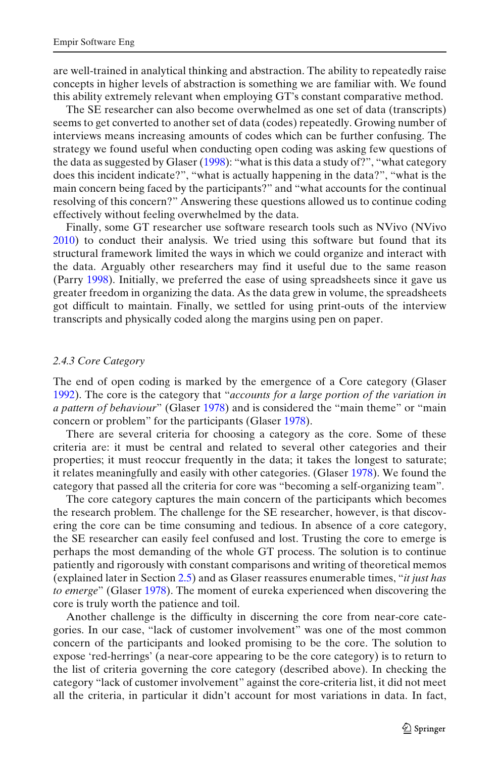are well-trained in analytical thinking and abstraction. The ability to repeatedly raise concepts in higher levels of abstraction is something we are familiar with. We found this ability extremely relevant when employing GT's constant comparative method.

The SE researcher can also become overwhelmed as one set of data (transcripts) seems to get converted to another set of data (codes) repeatedly. Growing number of interviews means increasing amounts of codes which can be further confusing. The strategy we found useful when conducting open coding was asking few questions of the data as suggested by Glase[r](#page-27-0) [\(1998](#page-27-0)): "what is this data a study of?", "what category does this incident indicate?", "what is actually happening in the data?", "what is the main concern being faced by the participants?" and "what accounts for the continual resolving of this concern?" Answering these questions allowed us to continue coding effectively without feeling overwhelmed by the data.

Finally, some GT researcher use software research tools such as NVivo (NViv[o](#page-28-0) [2010\)](#page-28-0) to conduct their analysis. We tried using this software but found that its structural framework limited the ways in which we could organize and interact with the data. Arguably other researchers may find it useful due to the same reason (Parr[y](#page-28-0) [1998](#page-28-0)). Initially, we preferred the ease of using spreadsheets since it gave us greater freedom in organizing the data. As the data grew in volume, the spreadsheets got difficult to maintain. Finally, we settled for using print-outs of the interview transcripts and physically coded along the margins using pen on paper.

#### *2.4.3 Core Category*

The end of open coding is marked by the emergence of a Core category (Glase[r](#page-27-0) [1992\)](#page-27-0). The core is the category that "*accounts for a large portion of the variation in a pattern of behaviour*" (Glase[r](#page-27-0) [1978\)](#page-27-0) and is considered the "main theme" or "main concern or problem" for the participants (Glase[r](#page-27-0) [1978\)](#page-27-0).

There are several criteria for choosing a category as the core. Some of these criteria are: it must be central and related to several other categories and their properties; it must reoccur frequently in the data; it takes the longest to saturate; it relates meaningfully and easily with other categories. (Glase[r](#page-27-0) [1978\)](#page-27-0). We found the category that passed all the criteria for core was "becoming a self-organizing team".

The core category captures the main concern of the participants which becomes the research problem. The challenge for the SE researcher, however, is that discovering the core can be time consuming and tedious. In absence of a core category, the SE researcher can easily feel confused and lost. Trusting the core to emerge is perhaps the most demanding of the whole GT process. The solution is to continue patiently and rigorously with constant comparisons and writing of theoretical memos (explained later in Section [2.5\)](#page-13-0) and as Glaser reassures enumerable times, "*it just has to emerge*" (Glase[r](#page-27-0) [1978](#page-27-0)). The moment of eureka experienced when discovering the core is truly worth the patience and toil.

Another challenge is the difficulty in discerning the core from near-core categories. In our case, "lack of customer involvement" was one of the most common concern of the participants and looked promising to be the core. The solution to expose 'red-herrings' (a near-core appearing to be the core category) is to return to the list of criteria governing the core category (described above). In checking the category "lack of customer involvement" against the core-criteria list, it did not meet all the criteria, in particular it didn't account for most variations in data. In fact,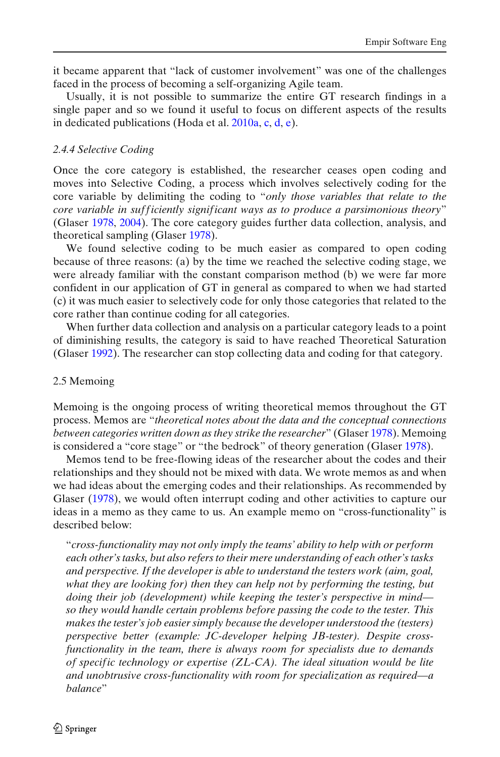<span id="page-13-0"></span>it became apparent that "lack of customer involvement" was one of the challenges faced in the process of becoming a self-organizing Agile team.

Usually, it is not possible to summarize the entire GT research findings in a single paper and so we found it useful to focus on different aspects of the results in dedicated publications (Hoda et al[.](#page-28-0)  $2010a$ , [c,](#page-28-0) [d,](#page-28-0) [e\)](#page-28-0).

#### *2.4.4 Selective Coding*

Once the core category is established, the researcher ceases open coding and moves into Selective Coding, a process which involves selectively coding for the core variable by delimiting the coding to "*only those variables that relate to the core variable in suf f iciently signif icant ways as to produce a parsimonious theory*" (Glase[r](#page-27-0) [1978,](#page-27-0) [2004](#page-27-0)). The core category guides further data collection, analysis, and theoretical sampling (Glase[r](#page-27-0) [1978](#page-27-0)).

We found selective coding to be much easier as compared to open coding because of three reasons: (a) by the time we reached the selective coding stage, we were already familiar with the constant comparison method (b) we were far more confident in our application of GT in general as compared to when we had started (c) it was much easier to selectively code for only those categories that related to the core rather than continue coding for all categories.

When further data collection and analysis on a particular category leads to a point of diminishing results, the category is said to have reached Theoretical Saturation (Glase[r](#page-27-0) [1992](#page-27-0)). The researcher can stop collecting data and coding for that category.

#### 2.5 Memoing

Memoing is the ongoing process of writing theoretical memos throughout the GT process. Memos are "*theoretical notes about the data and the conceptual connections between categories written down as they strike the researcher*" (Glase[r](#page-27-0) [1978](#page-27-0)). Memoing is conside[r](#page-27-0)ed a "core stage" or "the bedrock" of theory generation (Glaser [1978](#page-27-0)).

Memos tend to be free-flowing ideas of the researcher about the codes and their relationships and they should not be mixed with data. We wrote memos as and when we had ideas about the emerging codes and their relationships. As recommended by Glase[r](#page-27-0) [\(1978](#page-27-0)), we would often interrupt coding and other activities to capture our ideas in a memo as they came to us. An example memo on "cross-functionality" is described below:

"*cross-functionality may not only imply the teams' ability to help with or perform each other's tasks, but also refers to their mere understanding of each other's tasks and perspective. If the developer is able to understand the testers work (aim, goal, what they are looking for) then they can help not by performing the testing, but doing their job (development) while keeping the tester's perspective in mind so they would handle certain problems before passing the code to the tester. This makes the tester's job easier simply because the developer understood the (testers) perspective better (example: JC-developer helping JB-tester). Despite crossfunctionality in the team, there is always room for specialists due to demands of specif ic technology or expertise (ZL-CA). The ideal situation would be lite and unobtrusive cross-functionality with room for specialization as required—a* balance"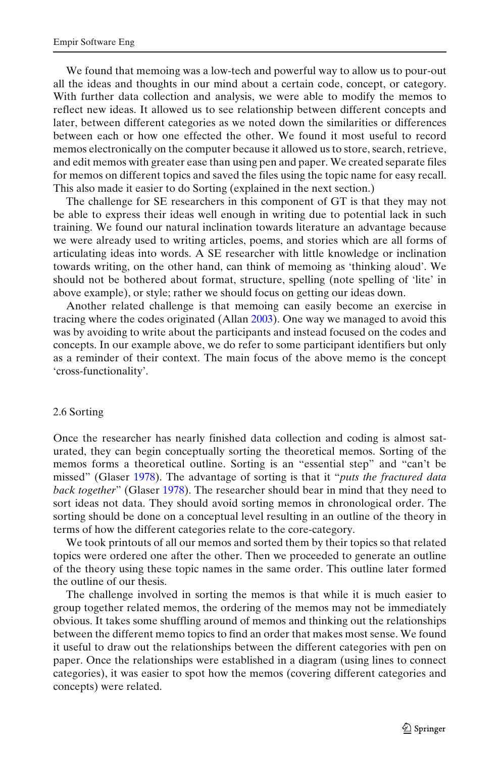We found that memoing was a low-tech and powerful way to allow us to pour-out all the ideas and thoughts in our mind about a certain code, concept, or category. With further data collection and analysis, we were able to modify the memos to reflect new ideas. It allowed us to see relationship between different concepts and later, between different categories as we noted down the similarities or differences between each or how one effected the other. We found it most useful to record memos electronically on the computer because it allowed us to store, search, retrieve, and edit memos with greater ease than using pen and paper. We created separate files for memos on different topics and saved the files using the topic name for easy recall. This also made it easier to do Sorting (explained in the next section.)

The challenge for SE researchers in this component of GT is that they may not be able to express their ideas well enough in writing due to potential lack in such training. We found our natural inclination towards literature an advantage because we were already used to writing articles, poems, and stories which are all forms of articulating ideas into words. A SE researcher with little knowledge or inclination towards writing, on the other hand, can think of memoing as 'thinking aloud'. We should not be bothered about format, structure, spelling (note spelling of 'lite' in above example), or style; rather we should focus on getting our ideas down.

Another related challenge is that memoing can easily become an exercise in tracing where the codes originated (Alla[n](#page-27-0) [2003](#page-27-0)). One way we managed to avoid this was by avoiding to write about the participants and instead focused on the codes and concepts. In our example above, we do refer to some participant identifiers but only as a reminder of their context. The main focus of the above memo is the concept 'cross-functionality'.

#### 2.6 Sorting

Once the researcher has nearly finished data collection and coding is almost saturated, they can begin conceptually sorting the theoretical memos. Sorting of the memos forms a theoretical outline. Sorting is an "essential step" and "can't be missed" (Glase[r](#page-27-0) [1978\)](#page-27-0). The advantage of sorting is that it "*puts the fractured data back together*" (Glase[r](#page-27-0) [1978](#page-27-0)). The researcher should bear in mind that they need to sort ideas not data. They should avoid sorting memos in chronological order. The sorting should be done on a conceptual level resulting in an outline of the theory in terms of how the different categories relate to the core-category.

We took printouts of all our memos and sorted them by their topics so that related topics were ordered one after the other. Then we proceeded to generate an outline of the theory using these topic names in the same order. This outline later formed the outline of our thesis.

The challenge involved in sorting the memos is that while it is much easier to group together related memos, the ordering of the memos may not be immediately obvious. It takes some shuffling around of memos and thinking out the relationships between the different memo topics to find an order that makes most sense. We found it useful to draw out the relationships between the different categories with pen on paper. Once the relationships were established in a diagram (using lines to connect categories), it was easier to spot how the memos (covering different categories and concepts) were related.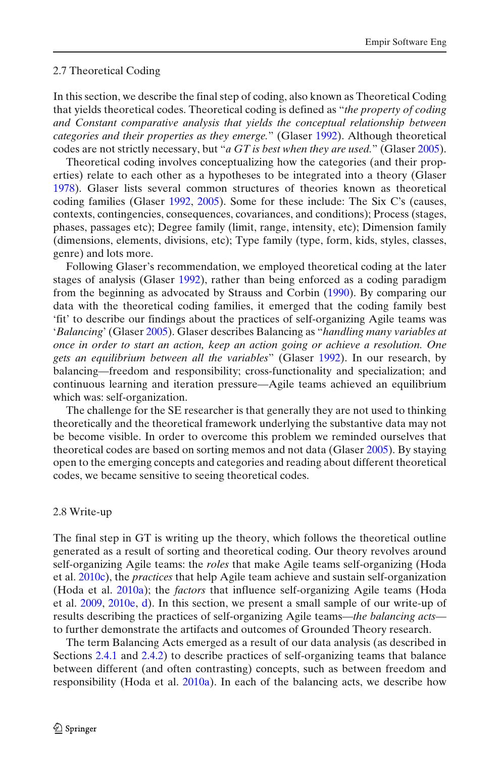#### 2.7 Theoretical Coding

In this section, we describe the final step of coding, also known as Theoretical Coding that yields theoretical codes. Theoretical coding is defined as "*the property of coding and Constant comparative analysis that yields the conceptual relationship between categories and their properties as they emerge.*" (Glase[r](#page-27-0) [1992\)](#page-27-0). Although theoretical codes are not strictly necessary, but "*a GT is best when they are used.*" (Glase[r](#page-27-0) [2005\)](#page-27-0).

Theoretical coding involves conceptualizing how the categories (and their properties) relate to each other as a hypotheses to be integrated into a theory (Glase[r](#page-27-0) [1978\)](#page-27-0). Glaser lists several common structures of theories known as theoretical coding families (Glase[r](#page-27-0) [1992,](#page-27-0) [2005\)](#page-27-0). Some for these include: The Six C's (causes, contexts, contingencies, consequences, covariances, and conditions); Process (stages, phases, passages etc); Degree family (limit, range, intensity, etc); Dimension family (dimensions, elements, divisions, etc); Type family (type, form, kids, styles, classes, genre) and lots more.

Following Glaser's recommendation, we employed theoretical coding at the later stages of analysis (Glase[r](#page-27-0) [1992](#page-27-0)), rather than being enforced as a coding paradigm from the beginning as advocated by Strauss and Corbi[n](#page-28-0) [\(1990](#page-28-0)). By comparing our data with the theoretical coding families, it emerged that the coding family best 'fit' to describe our findings about the practices of self-organizing Agile teams was '*Balancing*' (Glase[r](#page-27-0) [2005\)](#page-27-0). Glaser describes Balancing as "*handling many variables at once in order to start an action, keep an action going or achieve a resolution. One gets an equilibrium between all the variables*" (Glase[r](#page-27-0) [1992](#page-27-0)). In our research, by balancing—freedom and responsibility; cross-functionality and specialization; and continuous learning and iteration pressure—Agile teams achieved an equilibrium which was: self-organization.

The challenge for the SE researcher is that generally they are not used to thinking theoretically and the theoretical framework underlying the substantive data may not be become visible. In order to overcome this problem we reminded ourselves that theoretical codes are based on sorting memos and not data (Glase[r](#page-27-0) [2005](#page-27-0)). By staying open to the emerging concepts and categories and reading about different theoretical codes, we became sensitive to seeing theoretical codes.

#### 2.8 Write-up

The final step in GT is writing up the theory, which follows the theoretical outline generated as a result of sorting and theoretical coding. Our theory revolves around self-organizing Agile teams: the *roles* that make Agile teams self-organizing (Hoda et al[.](#page-28-0) [2010c](#page-28-0)), the *practices* that help Agile team achieve and sustain self-organization (Hoda et al[.](#page-28-0) [2010a\)](#page-28-0); the *factors* that influence self-organizing Agile teams (Hoda et al. [2009,](#page-28-0) [2010e](#page-28-0), [d\)](#page-28-0). In this section, we present a small sample of our write-up of results describing the practices of self-organizing Agile teams—*the balancing acts* to further demonstrate the artifacts and outcomes of Grounded Theory research.

The term Balancing Acts emerged as a result of our data analysis (as described in Sections [2.4.1](#page-10-0) and [2.4.2\)](#page-10-0) to describe practices of self-organizing teams that balance between different (and often contrasting) concepts, such as between freedom and responsibility (Hoda et al[.](#page-28-0) [2010a](#page-28-0)). In each of the balancing acts, we describe how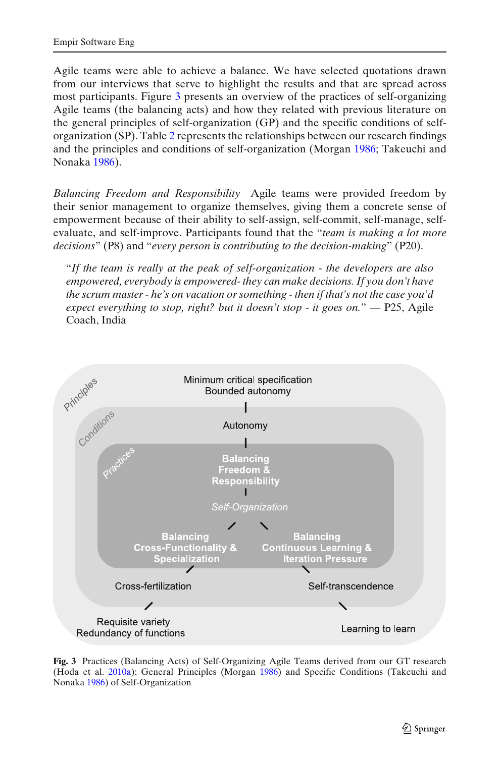<span id="page-16-0"></span>Agile teams were able to achieve a balance. We have selected quotations drawn from our interviews that serve to highlight the results and that are spread across most participants. Figure 3 presents an overview of the practices of self-organizing Agile teams (the balancing acts) and how they related with previous literature on the general principles of self-organization (GP) and the specific conditions of selforganization (SP). Table [2](#page-17-0) represents the relationships between our research findings and the principles and conditions of self-organization (Morga[n](#page-28-0) [1986](#page-28-0); Takeuchi and Nonak[a](#page-28-0) [1986\)](#page-28-0).

*Balancing Freedom and Responsibility* Agile teams were provided freedom by their senior management to organize themselves, giving them a concrete sense of empowerment because of their ability to self-assign, self-commit, self-manage, selfevaluate, and self-improve. Participants found that the "*team is making a lot more decisions*" (P8) and "*every person is contributing to the decision-making*" (P20).

"*If the team is really at the peak of self-organization - the developers are also empowered, everybody is empowered- they can make decisions. If you don't have the scrum master - he's on vacation or something - then if that's not the case you'd expect everything to stop, right? but it doesn't stop - it goes on.*" — P25, Agile Coach, India



**Fig. 3** Practices (Balancing Acts) of Self-Organizing Agile Teams derived from our GT research (Hoda et al[.](#page-28-0) [2010a](#page-28-0)); General Principles (Morga[n](#page-28-0) [1986](#page-28-0)) and Specific Conditions (Takeuchi and Nonak[a](#page-28-0) [1986](#page-28-0)) of Self-Organization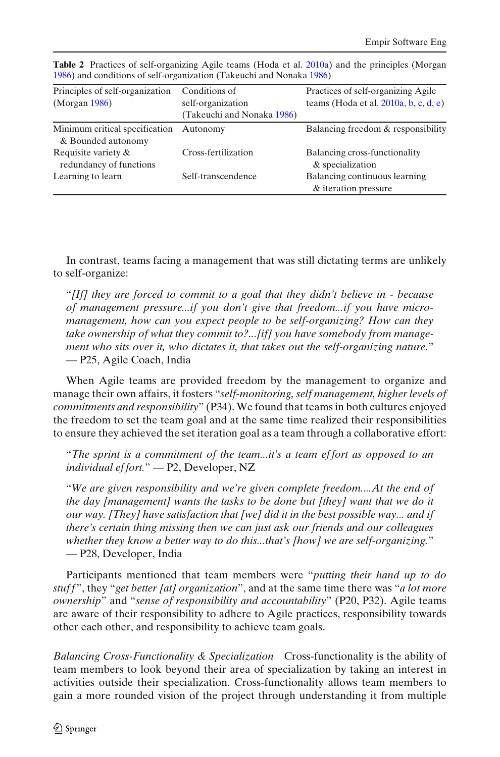| Principles of self-organization                      | Conditions of              | Practices of self-organizing Agile                    |
|------------------------------------------------------|----------------------------|-------------------------------------------------------|
| (Morgan 1986)                                        | self-organization          | teams (Hoda et al. $2010a$ , b, c, d, e)              |
|                                                      | (Takeuchi and Nonaka 1986) |                                                       |
| Minimum critical specification<br>& Bounded autonomy | Autonomy                   | Balancing freedom & responsibility                    |
| Requisite variety &<br>redundancy of functions       | Cross-fertilization        | Balancing cross-functionality<br>& specialization     |
| Learning to learn                                    | Self-transcendence         | Balancing continuous learning<br>& iteration pressure |

<span id="page-17-0"></span>Table 2 Practices of self-organizing Agile teams (Hoda et al[.](#page-28-0) [2010a](#page-28-0)) a[n](#page-28-0)d the principles (Morgan [1986\)](#page-28-0) and conditions of self-organization (Takeuchi and Nonak[a](#page-28-0) [1986](#page-28-0))

In contrast, teams facing a management that was still dictating terms are unlikely to self-organize:

"*[If] they are forced to commit to a goal that they didn't believe in - because of management pressure...if you don't give that freedom...if you have micromanagement, how can you expect people to be self-organizing? How can they take ownership of what they commit to?...[if] you have somebody from management who sits over it, who dictates it, that takes out the self-organizing nature.*" — P25, Agile Coach, India

When Agile teams are provided freedom by the management to organize and manage their own affairs, it fosters "*self-monitoring, self management, higher levels of commitments and responsibility*" (P34). We found that teams in both cultures enjoyed the freedom to set the team goal and at the same time realized their responsibilities to ensure they achieved the set iteration goal as a team through a collaborative effort:

"*The sprint is a commitment of the team...it's a team ef fort as opposed to an individual ef fort.*" — P2, Developer, NZ

"*We are given responsibility and we're given complete freedom....At the end of the day [management] wants the tasks to be done but [they] want that we do it our way. [They] have satisfaction that [we] did it in the best possible way... and if there's certain thing missing then we can just ask our friends and our colleagues whether they know a better way to do this...that's [how] we are self-organizing.*" — P28, Developer, India

Participants mentioned that team members were "*putting their hand up to do stuf f* ", they "*get better [at] organization*", and at the same time there was "*a lot more ownership*" and "*sense of responsibility and accountability*" (P20, P32). Agile teams are aware of their responsibility to adhere to Agile practices, responsibility towards other each other, and responsibility to achieve team goals.

*Balancing Cross-Functionality & Specialization* Cross-functionality is the ability of team members to look beyond their area of specialization by taking an interest in activities outside their specialization. Cross-functionality allows team members to gain a more rounded vision of the project through understanding it from multiple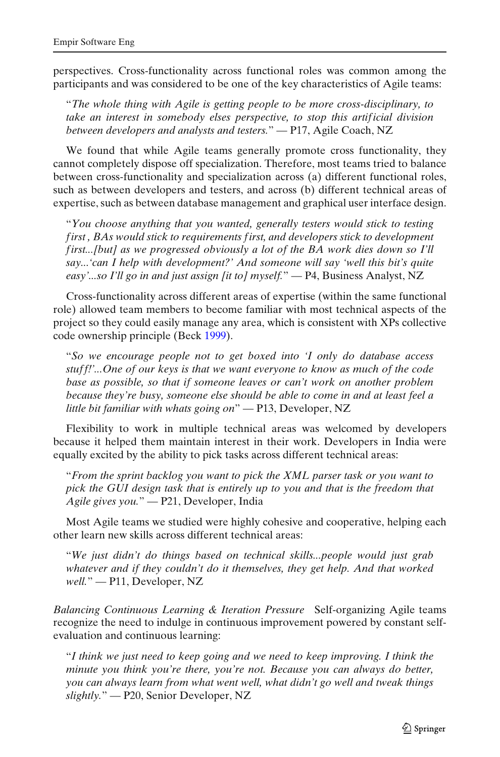perspectives. Cross-functionality across functional roles was common among the participants and was considered to be one of the key characteristics of Agile teams:

"*The whole thing with Agile is getting people to be more cross-disciplinary, to take an interest in somebody elses perspective, to stop this artif icial division between developers and analysts and testers.*" — P17, Agile Coach, NZ

We found that while Agile teams generally promote cross functionality, they cannot completely dispose off specialization. Therefore, most teams tried to balance between cross-functionality and specialization across (a) different functional roles, such as between developers and testers, and across (b) different technical areas of expertise, such as between database management and graphical user interface design.

"*You choose anything that you wanted, generally testers would stick to testing f irst , BAs would stick to requirements f irst, and developers stick to development f irst...[but] as we progressed obviously a lot of the BA work dies down so I'll say...'can I help with development?' And someone will say 'well this bit's quite easy'...so I'll go in and just assign [it to] myself.*" — P4, Business Analyst, NZ

Cross-functionality across different areas of expertise (within the same functional role) allowed team members to become familiar with most technical aspects of the project so they could easily manage any area, which is consistent with XPs collective code ownership principle (Bec[k](#page-27-0) [1999\)](#page-27-0).

"*So we encourage people not to get boxed into 'I only do database access stuf f!'...One of our keys is that we want everyone to know as much of the code base as possible, so that if someone leaves or can't work on another problem because they're busy, someone else should be able to come in and at least feel a little bit familiar with whats going on*" — P13, Developer, NZ

Flexibility to work in multiple technical areas was welcomed by developers because it helped them maintain interest in their work. Developers in India were equally excited by the ability to pick tasks across different technical areas:

"*From the sprint backlog you want to pick the XML parser task or you want to pick the GUI design task that is entirely up to you and that is the freedom that Agile gives you.*" — P21, Developer, India

Most Agile teams we studied were highly cohesive and cooperative, helping each other learn new skills across different technical areas:

"*We just didn't do things based on technical skills...people would just grab whatever and if they couldn't do it themselves, they get help. And that worked well.*" — P11, Developer, NZ

*Balancing Continuous Learning & Iteration Pressure* Self-organizing Agile teams recognize the need to indulge in continuous improvement powered by constant selfevaluation and continuous learning:

"*I think we just need to keep going and we need to keep improving. I think the minute you think you're there, you're not. Because you can always do better, you can always learn from what went well, what didn't go well and tweak things slightly.*" — P20, Senior Developer, NZ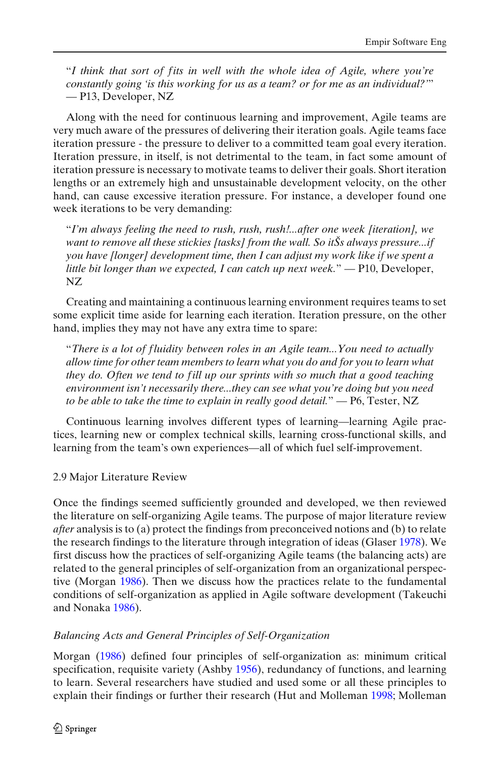<span id="page-19-0"></span>"I think that sort of fits in well with the whole idea of Agile, where you're *constantly going 'is this working for us as a team? or for me as an individual?'*" — P13, Developer, NZ

Along with the need for continuous learning and improvement, Agile teams are very much aware of the pressures of delivering their iteration goals. Agile teams face iteration pressure - the pressure to deliver to a committed team goal every iteration. Iteration pressure, in itself, is not detrimental to the team, in fact some amount of iteration pressure is necessary to motivate teams to deliver their goals. Short iteration lengths or an extremely high and unsustainable development velocity, on the other hand, can cause excessive iteration pressure. For instance, a developer found one week iterations to be very demanding:

"*I'm always feeling the need to rush, rush, rush!...after one week [iteration], we want to remove all these stickies [tasks] from the wall. So itŠs always pressure...if you have [longer] development time, then I can adjust my work like if we spent a little bit longer than we expected, I can catch up next week.*" — P10, Developer, NZ

Creating and maintaining a continuous learning environment requires teams to set some explicit time aside for learning each iteration. Iteration pressure, on the other hand, implies they may not have any extra time to spare:

"*There is a lot of f luidity between roles in an Agile team...You need to actually allow time for other team members to learn what you do and for you to learn what they do. Often we tend to f ill up our sprints with so much that a good teaching environment isn't necessarily there...they can see what you're doing but you need to be able to take the time to explain in really good detail.*" — P6, Tester, NZ

Continuous learning involves different types of learning—learning Agile practices, learning new or complex technical skills, learning cross-functional skills, and learning from the team's own experiences—all of which fuel self-improvement.

# 2.9 Major Literature Review

Once the findings seemed sufficiently grounded and developed, we then reviewed the literature on self-organizing Agile teams. The purpose of major literature review *after* analysis is to (a) protect the findings from preconceived notions and (b) to relate the research findings to the literature through integration of ideas (Glase[r](#page-27-0) [1978](#page-27-0)). We first discuss how the practices of self-organizing Agile teams (the balancing acts) are related to the general principles of self-organization from an organizational perspective (Morga[n](#page-28-0) [1986\)](#page-28-0). Then we discuss how the practices relate to the fundamental conditions of self-organization as applied in Agile software development (Takeuchi and Nonak[a](#page-28-0) [1986\)](#page-28-0).

# *Balancing Acts and General Principles of Self-Organization*

Morga[n](#page-28-0) [\(1986\)](#page-28-0) defined four principles of self-organization as: minimum critical specification, requisite variety (Ashb[y](#page-27-0) [1956](#page-27-0)), redundancy of functions, and learning to learn. Several researchers have studied and used some or all these principles to explain their findings or further their research (Hut and Mollema[n](#page-28-0) [1998](#page-28-0); Mollema[n](#page-28-0)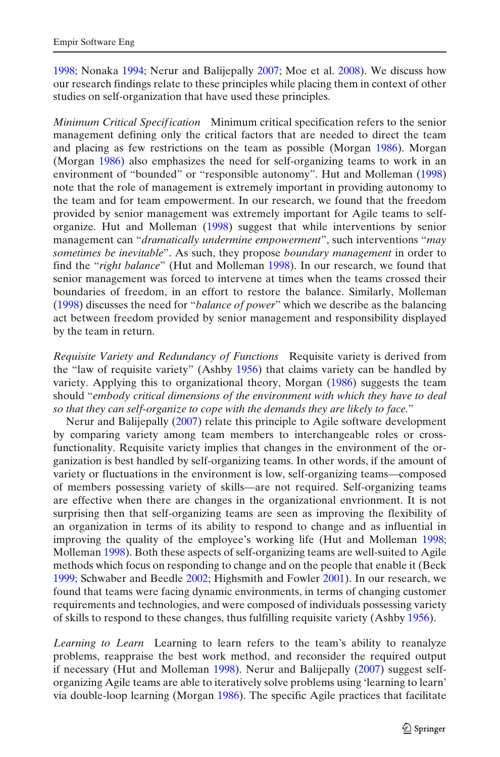[1998;](#page-28-0) Nonak[a](#page-28-0) [1994](#page-28-0); Nerur and Balijepall[y](#page-28-0) [2007](#page-28-0); Moe et al[.](#page-28-0) [2008\)](#page-28-0). We discuss how our research findings relate to these principles while placing them in context of other studies on self-organization that have used these principles.

*Minimum Critical Specif ication* Minimum critical specification refers to the senior management defining only the critical factors that are needed to direct the team and placing as few restrictions on the team as possible (Morga[n](#page-28-0) [1986\)](#page-28-0). Morgan (Morga[n](#page-28-0) [1986\)](#page-28-0) also emphasizes the need for self-organizing teams to work in an environment of "bounded" or "responsible autonomy". Hut and Mollema[n](#page-28-0) [\(1998\)](#page-28-0) note that the role of management is extremely important in providing autonomy to the team and for team empowerment. In our research, we found that the freedom provided by senior management was extremely important for Agile teams to selforganize. Hut and Mollema[n](#page-28-0) [\(1998\)](#page-28-0) suggest that while interventions by senior management can "*dramatically undermine empowerment*", such interventions "*may sometimes be inevitable*". As such, they propose *boundary management* in order to find the "*right balance*" (Hut and Mollema[n](#page-28-0) [1998\)](#page-28-0). In our research, we found that senior management was forced to intervene at times when the teams crossed their boundaries of freedom, in an effort to restore the balance. Similarly, Mollema[n](#page-28-0) [\(1998](#page-28-0)) discusses the need for "*balance of power*" which we describe as the balancing act between freedom provided by senior management and responsibility displayed by the team in return.

*Requisite Variety and Redundancy of Functions* Requisite variety is derived from the "law of requisite variety" (Ashb[y](#page-27-0) [1956\)](#page-27-0) that claims variety can be handled by variety. Applying this to organizational theory, Morga[n](#page-28-0) [\(1986\)](#page-28-0) suggests the team should "*embody critical dimensions of the environment with which they have to deal so that they can self-organize to cope with the demands they are likely to face.*"

Nerur and Balijepall[y](#page-28-0) [\(2007\)](#page-28-0) relate this principle to Agile software development by comparing variety among team members to interchangeable roles or crossfunctionality. Requisite variety implies that changes in the environment of the organization is best handled by self-organizing teams. In other words, if the amount of variety or fluctuations in the environment is low, self-organizing teams—composed of members possessing variety of skills—are not required. Self-organizing teams are effective when there are changes in the organizational envrionment. It is not surprising then that self-organizing teams are seen as improving the flexibility of an organization in terms of its ability to respond to change and as influential in improving the quality of the employee's working life (Hut and Mollema[n](#page-28-0) [1998](#page-28-0); Mollema[n](#page-28-0) [1998](#page-28-0)). Both these aspects of self-organizing teams are well-suited to Agile methods which focus on responding to change and on the people that enable it (Bec[k](#page-27-0) [1999;](#page-27-0) Schwaber and Beedl[e](#page-28-0) [2002;](#page-28-0) Highsmith and Fowle[r](#page-28-0) [2001](#page-28-0)). In our research, we found that teams were facing dynamic environments, in terms of changing customer requirements and technologies, and were composed of individuals possessing variety of skills to respond to these changes, thus fulfilling requisite variety (Ashb[y](#page-27-0) [1956\)](#page-27-0).

*Learning to Learn* Learning to learn refers to the team's ability to reanalyze problems, reappraise the best work method, and reconsider the required output if necessary (Hut and Mollema[n](#page-28-0) [1998\)](#page-28-0). Nerur and Balijepall[y](#page-28-0) [\(2007](#page-28-0)) suggest selforganizing Agile teams are able to iteratively solve problems using 'learning to learn' via double-loop learning (Morga[n](#page-28-0) [1986](#page-28-0)). The specific Agile practices that facilitate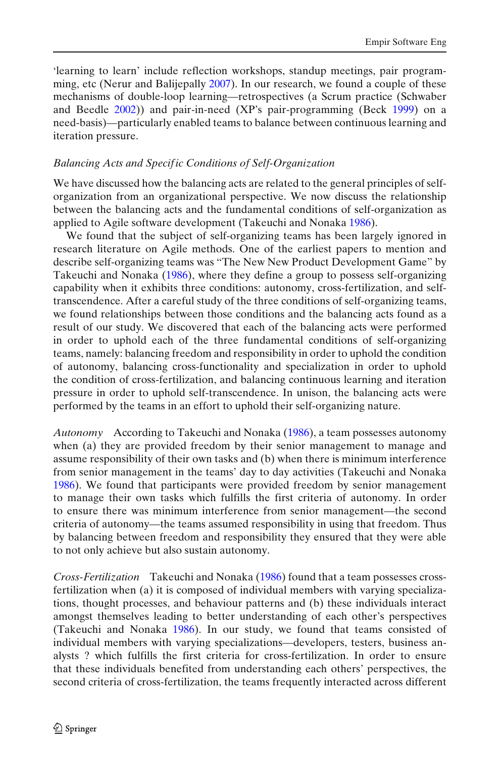'learning to learn' include reflection workshops, standup meetings, pair programming, etc (Nerur and Balijepall[y](#page-28-0) [2007\)](#page-28-0). In our research, we found a couple of these mechanisms of double-loop learning—retrospectives (a Scrum practice (Schwaber and Beedl[e](#page-28-0) [2002\)](#page-28-0)) and pair-in-need (XP's pair-programming (Bec[k](#page-27-0) [1999](#page-27-0)) on a need-basis)—particularly enabled teams to balance between continuous learning and iteration pressure.

# *Balancing Acts and Specif ic Conditions of Self-Organization*

We have discussed how the balancing acts are related to the general principles of selforganization from an organizational perspective. We now discuss the relationship between the balancing acts and the fundamental conditions of self-organization as applied to Agile software development (Takeuchi and Nonak[a](#page-28-0) [1986](#page-28-0)).

We found that the subject of self-organizing teams has been largely ignored in research literature on Agile methods. One of the earliest papers to mention and describe self-organizing teams was "The New New Product Development Game" by Takeuchi and Nonak[a](#page-28-0) [\(1986](#page-28-0)), where they define a group to possess self-organizing capability when it exhibits three conditions: autonomy, cross-fertilization, and selftranscendence. After a careful study of the three conditions of self-organizing teams, we found relationships between those conditions and the balancing acts found as a result of our study. We discovered that each of the balancing acts were performed in order to uphold each of the three fundamental conditions of self-organizing teams, namely: balancing freedom and responsibility in order to uphold the condition of autonomy, balancing cross-functionality and specialization in order to uphold the condition of cross-fertilization, and balancing continuous learning and iteration pressure in order to uphold self-transcendence. In unison, the balancing acts were performed by the teams in an effort to uphold their self-organizing nature.

*Autonomy* According to Takeuchi and Nonak[a](#page-28-0) [\(1986\)](#page-28-0), a team possesses autonomy when (a) they are provided freedom by their senior management to manage and assume responsibility of their own tasks and (b) when there is minimum interference from senior management in the teams' day to day activities (Takeuchi and Nonak[a](#page-28-0) [1986\)](#page-28-0). We found that participants were provided freedom by senior management to manage their own tasks which fulfills the first criteria of autonomy. In order to ensure there was minimum interference from senior management—the second criteria of autonomy—the teams assumed responsibility in using that freedom. Thus by balancing between freedom and responsibility they ensured that they were able to not only achieve but also sustain autonomy.

*Cross-Fertilization* Takeuchi and Nonak[a](#page-28-0) [\(1986\)](#page-28-0) found that a team possesses crossfertilization when (a) it is composed of individual members with varying specializations, thought processes, and behaviour patterns and (b) these individuals interact amongst themselves leading to better understanding of each other's perspectives (Takeuchi and Nonak[a](#page-28-0) [1986\)](#page-28-0). In our study, we found that teams consisted of individual members with varying specializations—developers, testers, business analysts ? which fulfills the first criteria for cross-fertilization. In order to ensure that these individuals benefited from understanding each others' perspectives, the second criteria of cross-fertilization, the teams frequently interacted across different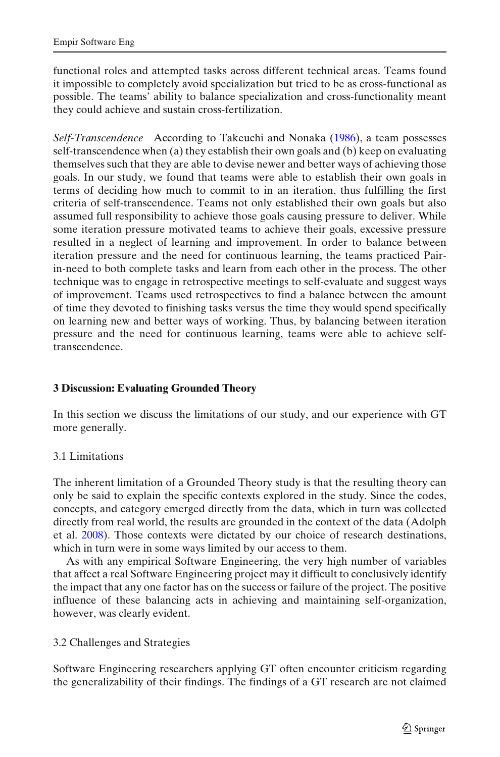<span id="page-22-0"></span>functional roles and attempted tasks across different technical areas. Teams found it impossible to completely avoid specialization but tried to be as cross-functional as possible. The teams' ability to balance specialization and cross-functionality meant they could achieve and sustain cross-fertilization.

*Self-Transcendence* According to Takeuchi and Nonak[a](#page-28-0) [\(1986\)](#page-28-0), a team possesses self-transcendence when (a) they establish their own goals and (b) keep on evaluating themselves such that they are able to devise newer and better ways of achieving those goals. In our study, we found that teams were able to establish their own goals in terms of deciding how much to commit to in an iteration, thus fulfilling the first criteria of self-transcendence. Teams not only established their own goals but also assumed full responsibility to achieve those goals causing pressure to deliver. While some iteration pressure motivated teams to achieve their goals, excessive pressure resulted in a neglect of learning and improvement. In order to balance between iteration pressure and the need for continuous learning, the teams practiced Pairin-need to both complete tasks and learn from each other in the process. The other technique was to engage in retrospective meetings to self-evaluate and suggest ways of improvement. Teams used retrospectives to find a balance between the amount of time they devoted to finishing tasks versus the time they would spend specifically on learning new and better ways of working. Thus, by balancing between iteration pressure and the need for continuous learning, teams were able to achieve selftranscendence.

# **3 Discussion: Evaluating Grounded Theory**

In this section we discuss the limitations of our study, and our experience with GT more generally.

# 3.1 Limitations

The inherent limitation of a Grounded Theory study is that the resulting theory can only be said to explain the specific contexts explored in the study. Since the codes, concepts, and category emerged directly from the data, which in turn was collected directly from real world, the results are grounded in the context of the data (Adolph et al[.](#page-27-0) [2008\)](#page-27-0). Those contexts were dictated by our choice of research destinations, which in turn were in some ways limited by our access to them.

As with any empirical Software Engineering, the very high number of variables that affect a real Software Engineering project may it difficult to conclusively identify the impact that any one factor has on the success or failure of the project. The positive influence of these balancing acts in achieving and maintaining self-organization, however, was clearly evident.

# 3.2 Challenges and Strategies

Software Engineering researchers applying GT often encounter criticism regarding the generalizability of their findings. The findings of a GT research are not claimed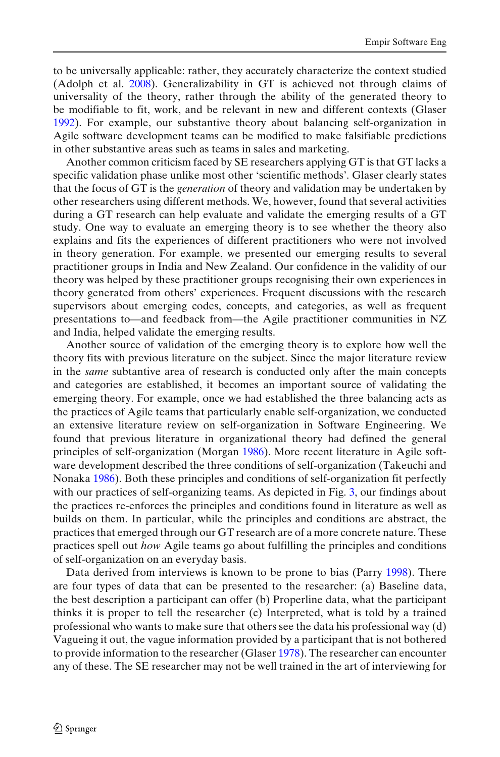to be universally applicable: rather, they accurately characterize the context studied (Adolph et al[.](#page-27-0) [2008\)](#page-27-0). Generalizability in GT is achieved not through claims of universality of the theory, rather through the ability of the generated theory to be modifiable to fit, work, and be relevant in new and different contexts (Glase[r](#page-27-0) [1992\)](#page-27-0). For example, our substantive theory about balancing self-organization in Agile software development teams can be modified to make falsifiable predictions in other substantive areas such as teams in sales and marketing.

Another common criticism faced by SE researchers applying GT is that GT lacks a specific validation phase unlike most other 'scientific methods'. Glaser clearly states that the focus of GT is the *generation* of theory and validation may be undertaken by other researchers using different methods. We, however, found that several activities during a GT research can help evaluate and validate the emerging results of a GT study. One way to evaluate an emerging theory is to see whether the theory also explains and fits the experiences of different practitioners who were not involved in theory generation. For example, we presented our emerging results to several practitioner groups in India and New Zealand. Our confidence in the validity of our theory was helped by these practitioner groups recognising their own experiences in theory generated from others' experiences. Frequent discussions with the research supervisors about emerging codes, concepts, and categories, as well as frequent presentations to—and feedback from—the Agile practitioner communities in NZ and India, helped validate the emerging results.

Another source of validation of the emerging theory is to explore how well the theory fits with previous literature on the subject. Since the major literature review in the *same* subtantive area of research is conducted only after the main concepts and categories are established, it becomes an important source of validating the emerging theory. For example, once we had established the three balancing acts as the practices of Agile teams that particularly enable self-organization, we conducted an extensive literature review on self-organization in Software Engineering. We found that previous literature in organizational theory had defined the general principles of self-organization (Morga[n](#page-28-0) [1986](#page-28-0)). More recent literature in Agile software development described the three conditions of self-organization (Takeuchi and Nonak[a](#page-28-0) [1986\)](#page-28-0). Both these principles and conditions of self-organization fit perfectly with our practices of self-organizing teams. As depicted in Fig. [3,](#page-16-0) our findings about the practices re-enforces the principles and conditions found in literature as well as builds on them. In particular, while the principles and conditions are abstract, the practices that emerged through our GT research are of a more concrete nature. These practices spell out *how* Agile teams go about fulfilling the principles and conditions of self-organization on an everyday basis.

Data derived from interviews is known to be prone to bias (Parr[y](#page-28-0) [1998](#page-28-0)). There are four types of data that can be presented to the researcher: (a) Baseline data, the best description a participant can offer (b) Properline data, what the participant thinks it is proper to tell the researcher (c) Interpreted, what is told by a trained professional who wants to make sure that others see the data his professional way (d) Vagueing it out, the vague information provided by a participant that is not bothered to provide information to the researcher (Glase[r](#page-27-0) [1978\)](#page-27-0). The researcher can encounter any of these. The SE researcher may not be well trained in the art of interviewing for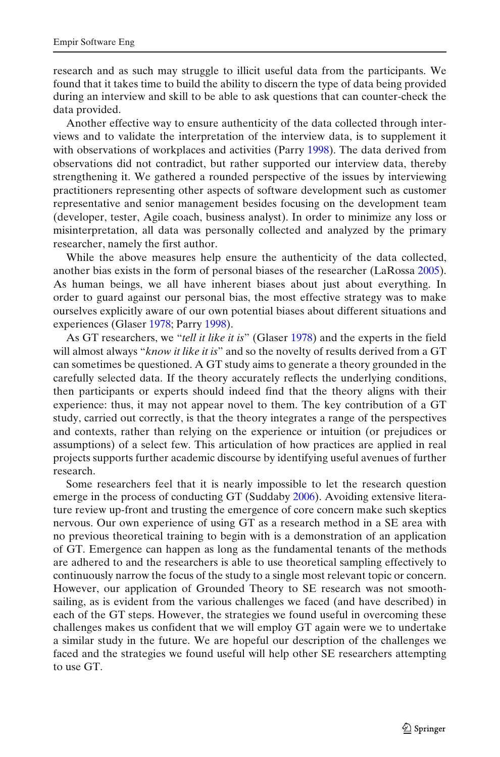research and as such may struggle to illicit useful data from the participants. We found that it takes time to build the ability to discern the type of data being provided during an interview and skill to be able to ask questions that can counter-check the data provided.

Another effective way to ensure authenticity of the data collected through interviews and to validate the interpretation of the interview data, is to supplement it with observations of workplaces and activities (Parr[y](#page-28-0) [1998](#page-28-0)). The data derived from observations did not contradict, but rather supported our interview data, thereby strengthening it. We gathered a rounded perspective of the issues by interviewing practitioners representing other aspects of software development such as customer representative and senior management besides focusing on the development team (developer, tester, Agile coach, business analyst). In order to minimize any loss or misinterpretation, all data was personally collected and analyzed by the primary researcher, namely the first author.

While the above measures help ensure the authenticity of the data collected, another bias exists in the form of personal biases of the researcher (LaRoss[a](#page-28-0) [2005\)](#page-28-0). As human beings, we all have inherent biases about just about everything. In order to guard against our personal bias, the most effective strategy was to make ourselves explicitly aware of our own potential biases about different situations and experiences (Glase[r](#page-27-0) [1978](#page-27-0); Parr[y](#page-28-0) [1998](#page-28-0)).

As GT researchers, we "*tell it like it is*" (Glase[r](#page-27-0) [1978\)](#page-27-0) and the experts in the field will almost always "*know it like it is*" and so the novelty of results derived from a GT can sometimes be questioned. A GT study aims to generate a theory grounded in the carefully selected data. If the theory accurately reflects the underlying conditions, then participants or experts should indeed find that the theory aligns with their experience: thus, it may not appear novel to them. The key contribution of a GT study, carried out correctly, is that the theory integrates a range of the perspectives and contexts, rather than relying on the experience or intuition (or prejudices or assumptions) of a select few. This articulation of how practices are applied in real projects supports further academic discourse by identifying useful avenues of further research.

Some researchers feel that it is nearly impossible to let the research question emerge in the process of conducting GT (Suddab[y](#page-28-0) [2006\)](#page-28-0). Avoiding extensive literature review up-front and trusting the emergence of core concern make such skeptics nervous. Our own experience of using GT as a research method in a SE area with no previous theoretical training to begin with is a demonstration of an application of GT. Emergence can happen as long as the fundamental tenants of the methods are adhered to and the researchers is able to use theoretical sampling effectively to continuously narrow the focus of the study to a single most relevant topic or concern. However, our application of Grounded Theory to SE research was not smoothsailing, as is evident from the various challenges we faced (and have described) in each of the GT steps. However, the strategies we found useful in overcoming these challenges makes us confident that we will employ GT again were we to undertake a similar study in the future. We are hopeful our description of the challenges we faced and the strategies we found useful will help other SE researchers attempting to use GT.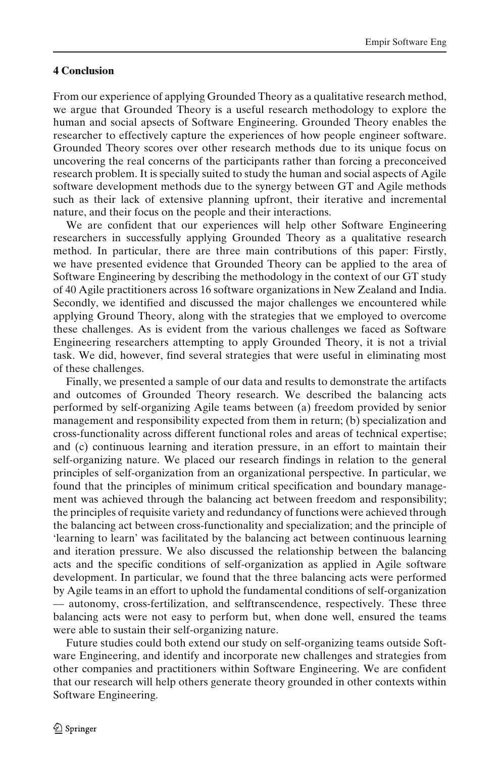### <span id="page-25-0"></span>**4 Conclusion**

From our experience of applying Grounded Theory as a qualitative research method, we argue that Grounded Theory is a useful research methodology to explore the human and social apsects of Software Engineering. Grounded Theory enables the researcher to effectively capture the experiences of how people engineer software. Grounded Theory scores over other research methods due to its unique focus on uncovering the real concerns of the participants rather than forcing a preconceived research problem. It is specially suited to study the human and social aspects of Agile software development methods due to the synergy between GT and Agile methods such as their lack of extensive planning upfront, their iterative and incremental nature, and their focus on the people and their interactions.

We are confident that our experiences will help other Software Engineering researchers in successfully applying Grounded Theory as a qualitative research method. In particular, there are three main contributions of this paper: Firstly, we have presented evidence that Grounded Theory can be applied to the area of Software Engineering by describing the methodology in the context of our GT study of 40 Agile practitioners across 16 software organizations in New Zealand and India. Secondly, we identified and discussed the major challenges we encountered while applying Ground Theory, along with the strategies that we employed to overcome these challenges. As is evident from the various challenges we faced as Software Engineering researchers attempting to apply Grounded Theory, it is not a trivial task. We did, however, find several strategies that were useful in eliminating most of these challenges.

Finally, we presented a sample of our data and results to demonstrate the artifacts and outcomes of Grounded Theory research. We described the balancing acts performed by self-organizing Agile teams between (a) freedom provided by senior management and responsibility expected from them in return; (b) specialization and cross-functionality across different functional roles and areas of technical expertise; and (c) continuous learning and iteration pressure, in an effort to maintain their self-organizing nature. We placed our research findings in relation to the general principles of self-organization from an organizational perspective. In particular, we found that the principles of minimum critical specification and boundary management was achieved through the balancing act between freedom and responsibility; the principles of requisite variety and redundancy of functions were achieved through the balancing act between cross-functionality and specialization; and the principle of 'learning to learn' was facilitated by the balancing act between continuous learning and iteration pressure. We also discussed the relationship between the balancing acts and the specific conditions of self-organization as applied in Agile software development. In particular, we found that the three balancing acts were performed by Agile teams in an effort to uphold the fundamental conditions of self-organization — autonomy, cross-fertilization, and selftranscendence, respectively. These three balancing acts were not easy to perform but, when done well, ensured the teams were able to sustain their self-organizing nature.

Future studies could both extend our study on self-organizing teams outside Software Engineering, and identify and incorporate new challenges and strategies from other companies and practitioners within Software Engineering. We are confident that our research will help others generate theory grounded in other contexts within Software Engineering.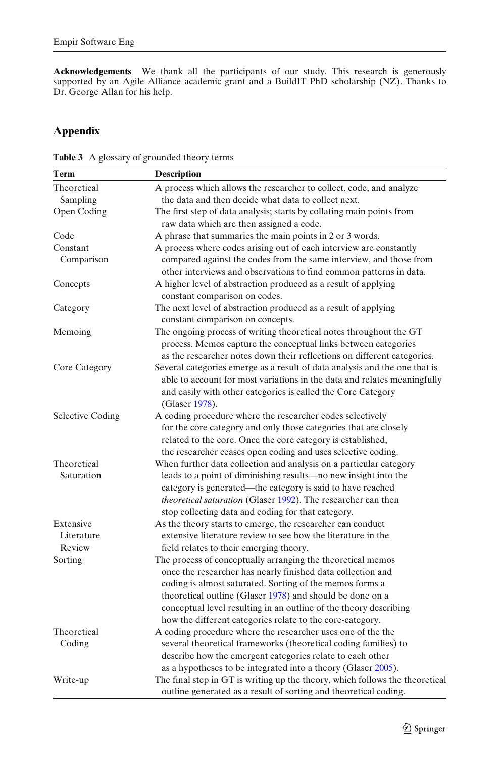<span id="page-26-0"></span>**Acknowledgements** We thank all the participants of our study. This research is generously supported by an Agile Alliance academic grant and a BuildIT PhD scholarship (NZ). Thanks to Dr. George Allan for his help.

# **Appendix**

|  |  |  | Table 3 A glossary of grounded theory terms |
|--|--|--|---------------------------------------------|
|--|--|--|---------------------------------------------|

| Term             | <b>Description</b>                                                                              |  |
|------------------|-------------------------------------------------------------------------------------------------|--|
| Theoretical      | A process which allows the researcher to collect, code, and analyze                             |  |
| Sampling         | the data and then decide what data to collect next.                                             |  |
| Open Coding      | The first step of data analysis; starts by collating main points from                           |  |
|                  | raw data which are then assigned a code.                                                        |  |
| Code             | A phrase that summaries the main points in 2 or 3 words.                                        |  |
| Constant         | A process where codes arising out of each interview are constantly                              |  |
| Comparison       | compared against the codes from the same interview, and those from                              |  |
|                  | other interviews and observations to find common patterns in data.                              |  |
| Concepts         | A higher level of abstraction produced as a result of applying<br>constant comparison on codes. |  |
| Category         | The next level of abstraction produced as a result of applying                                  |  |
|                  | constant comparison on concepts.                                                                |  |
| Memoing          | The ongoing process of writing theoretical notes throughout the GT                              |  |
|                  | process. Memos capture the conceptual links between categories                                  |  |
|                  | as the researcher notes down their reflections on different categories.                         |  |
| Core Category    | Several categories emerge as a result of data analysis and the one that is                      |  |
|                  | able to account for most variations in the data and relates meaningfully                        |  |
|                  | and easily with other categories is called the Core Category                                    |  |
|                  | (Glaser 1978).                                                                                  |  |
| Selective Coding | A coding procedure where the researcher codes selectively                                       |  |
|                  | for the core category and only those categories that are closely                                |  |
|                  | related to the core. Once the core category is established,                                     |  |
|                  | the researcher ceases open coding and uses selective coding.                                    |  |
| Theoretical      | When further data collection and analysis on a particular category                              |  |
| Saturation       | leads to a point of diminishing results-no new insight into the                                 |  |
|                  | category is generated—the category is said to have reached                                      |  |
|                  | theoretical saturation (Glaser 1992). The researcher can then                                   |  |
|                  | stop collecting data and coding for that category.                                              |  |
| Extensive        | As the theory starts to emerge, the researcher can conduct                                      |  |
| Literature       | extensive literature review to see how the literature in the                                    |  |
| Review           | field relates to their emerging theory.                                                         |  |
| Sorting          | The process of conceptually arranging the theoretical memos                                     |  |
|                  | once the researcher has nearly finished data collection and                                     |  |
|                  | coding is almost saturated. Sorting of the memos forms a                                        |  |
|                  | theoretical outline (Glaser 1978) and should be done on a                                       |  |
|                  | conceptual level resulting in an outline of the theory describing                               |  |
|                  | how the different categories relate to the core-category.                                       |  |
| Theoretical      | A coding procedure where the researcher uses one of the the                                     |  |
| Coding           | several theoretical frameworks (theoretical coding families) to                                 |  |
|                  | describe how the emergent categories relate to each other                                       |  |
|                  | as a hypotheses to be integrated into a theory (Glaser 2005).                                   |  |
| Write-up         | The final step in GT is writing up the theory, which follows the theoretical                    |  |
|                  | outline generated as a result of sorting and theoretical coding.                                |  |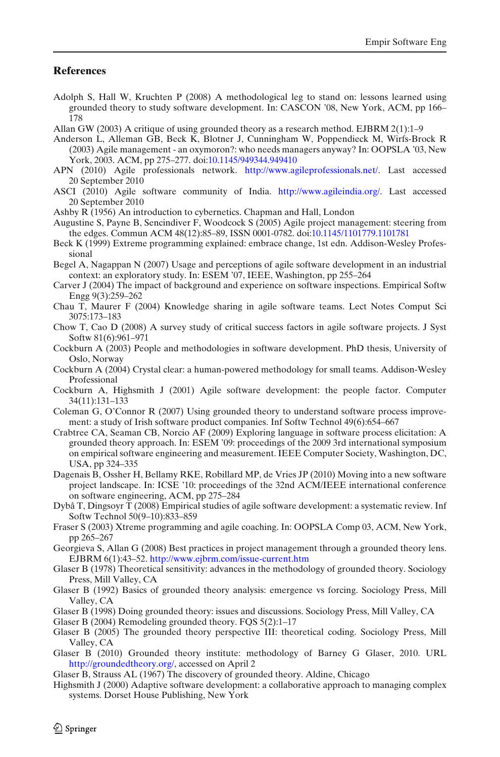#### <span id="page-27-0"></span>**References**

- Adolph S, Hall W, Kruchten P (2008) A methodological leg to stand on: lessons learned using grounded theory to study software development. In: CASCON '08, New York, ACM, pp 166– 178
- Allan GW (2003) A critique of using grounded theory as a research method. EJBRM 2(1):1–9
- Anderson L, Alleman GB, Beck K, Blotner J, Cunningham W, Poppendieck M, Wirfs-Brock R (2003) Agile management - an oxymoron?: who needs managers anyway? In: OOPSLA '03, New York, 2003. ACM, pp 275–277. doi[:10.1145/949344.949410](http://doi.acm.org/10.1145/949344.949410)
- APN (2010) Agile professionals network. [http://www.agileprofessionals.net/.](http://www.agileprofessionals.net/) Last accessed 20 September 2010
- ASCI (2010) Agile software community of India. [http://www.agileindia.org/.](http://www.agileindia.org/) Last accessed 20 September 2010
- Ashby R (1956) An introduction to cybernetics. Chapman and Hall, London
- Augustine S, Payne B, Sencindiver F, Woodcock S (2005) Agile project management: steering from the edges. Commun ACM 48(12):85–89, ISSN 0001-0782. doi[:10.1145/1101779.1101781](http://doi.acm.org/10.1145/1101779.1101781)
- Beck K (1999) Extreme programming explained: embrace change, 1st edn. Addison-Wesley Professional
- Begel A, Nagappan N (2007) Usage and perceptions of agile software development in an industrial context: an exploratory study. In: ESEM '07, IEEE, Washington, pp 255–264
- Carver J (2004) The impact of background and experience on software inspections. Empirical Softw Engg 9(3):259–262
- Chau T, Maurer F (2004) Knowledge sharing in agile software teams. Lect Notes Comput Sci 3075:173–183
- Chow T, Cao D (2008) A survey study of critical success factors in agile software projects. J Syst Softw 81(6):961–971
- Cockburn A (2003) People and methodologies in software development. PhD thesis, University of Oslo, Norway
- Cockburn A (2004) Crystal clear: a human-powered methodology for small teams. Addison-Wesley Professional
- Cockburn A, Highsmith J (2001) Agile software development: the people factor. Computer 34(11):131–133
- Coleman G, O'Connor R (2007) Using grounded theory to understand software process improvement: a study of Irish software product companies. Inf Softw Technol 49(6):654–667
- Crabtree CA, Seaman CB, Norcio AF (2009) Exploring language in software process elicitation: A grounded theory approach. In: ESEM '09: proceedings of the 2009 3rd international symposium on empirical software engineering and measurement. IEEE Computer Society, Washington, DC, USA, pp 324–335
- Dagenais B, Ossher H, Bellamy RKE, Robillard MP, de Vries JP (2010) Moving into a new software project landscape. In: ICSE '10: proceedings of the 32nd ACM/IEEE international conference on software engineering, ACM, pp 275–284
- Dybå T, Dingsoyr T (2008) Empirical studies of agile software development: a systematic review. Inf Softw Technol 50(9–10):833–859
- Fraser S (2003) Xtreme programming and agile coaching. In: OOPSLA Comp 03, ACM, New York, pp 265–267
- Georgieva S, Allan G (2008) Best practices in project management through a grounded theory lens. EJBRM 6(1):43–52. <http://www.ejbrm.com/issue-current.htm>
- Glaser B (1978) Theoretical sensitivity: advances in the methodology of grounded theory. Sociology Press, Mill Valley, CA
- Glaser B (1992) Basics of grounded theory analysis: emergence vs forcing. Sociology Press, Mill Valley, CA
- Glaser B (1998) Doing grounded theory: issues and discussions. Sociology Press, Mill Valley, CA
- Glaser B (2004) Remodeling grounded theory. FQS 5(2):1–17
- Glaser B (2005) The grounded theory perspective III: theoretical coding. Sociology Press, Mill Valley, CA
- Glaser B (2010) Grounded theory institute: methodology of Barney G Glaser, 2010. URL [http://groundedtheory.org/,](http://groundedtheory.org/) accessed on April 2
- Glaser B, Strauss AL (1967) The discovery of grounded theory. Aldine, Chicago
- Highsmith J (2000) Adaptive software development: a collaborative approach to managing complex systems. Dorset House Publishing, New York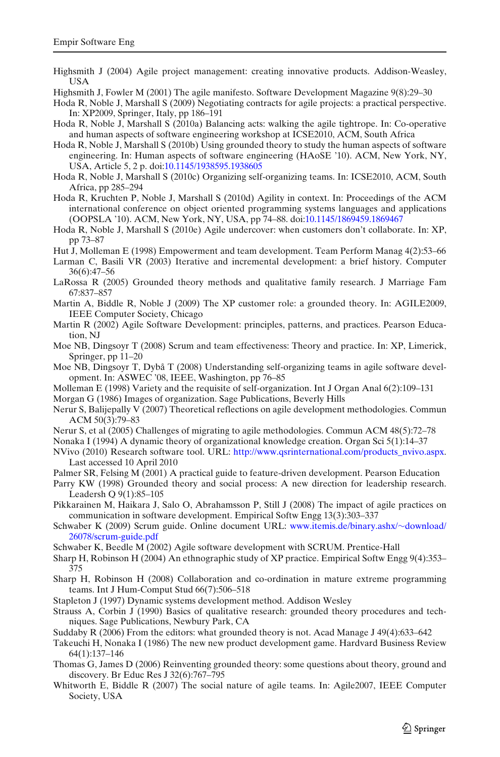- <span id="page-28-0"></span>Highsmith J (2004) Agile project management: creating innovative products. Addison-Weasley, USA
- Highsmith J, Fowler M (2001) The agile manifesto. Software Development Magazine 9(8):29–30
- Hoda R, Noble J, Marshall S (2009) Negotiating contracts for agile projects: a practical perspective. In: XP2009, Springer, Italy, pp 186–191
- Hoda R, Noble J, Marshall S (2010a) Balancing acts: walking the agile tightrope. In: Co-operative and human aspects of software engineering workshop at ICSE2010, ACM, South Africa
- Hoda R, Noble J, Marshall S (2010b) Using grounded theory to study the human aspects of software engineering. In: Human aspects of software engineering (HAoSE '10). ACM, New York, NY, USA, Article 5, 2 p. doi[:10.1145/1938595.1938605](http://doi.acm.org/10.1145/1938595.1938605)
- Hoda R, Noble J, Marshall S (2010c) Organizing self-organizing teams. In: ICSE2010, ACM, South Africa, pp 285–294
- Hoda R, Kruchten P, Noble J, Marshall S (2010d) Agility in context. In: Proceedings of the ACM international conference on object oriented programming systems languages and applications (OOPSLA '10). ACM, New York, NY, USA, pp 74–88. doi[:10.1145/1869459.1869467](http://doi.acm.org/10.1145/1869459.1869467)
- Hoda R, Noble J, Marshall S (2010e) Agile undercover: when customers don't collaborate. In: XP, pp 73–87
- Hut J, Molleman E (1998) Empowerment and team development. Team Perform Manag 4(2):53–66
- Larman C, Basili VR (2003) Iterative and incremental development: a brief history. Computer 36(6):47–56
- LaRossa R (2005) Grounded theory methods and qualitative family research. J Marriage Fam 67:837–857
- Martin A, Biddle R, Noble J (2009) The XP customer role: a grounded theory. In: AGILE2009, IEEE Computer Society, Chicago
- Martin R (2002) Agile Software Development: principles, patterns, and practices. Pearson Education, NJ
- Moe NB, Dingsoyr T (2008) Scrum and team effectiveness: Theory and practice. In: XP, Limerick, Springer, pp 11–20
- Moe NB, Dingsoyr T, Dybå T (2008) Understanding self-organizing teams in agile software development. In: ASWEC '08, IEEE, Washington, pp 76–85
- Molleman E (1998) Variety and the requisite of self-organization. Int J Organ Anal 6(2):109–131

Morgan G (1986) Images of organization. Sage Publications, Beverly Hills

- Nerur S, Balijepally V (2007) Theoretical reflections on agile development methodologies. Commun ACM 50(3):79–83
- Nerur S, et al (2005) Challenges of migrating to agile methodologies. Commun ACM 48(5):72–78
- Nonaka I (1994) A dynamic theory of organizational knowledge creation. Organ Sci 5(1):14–37
- NVivo (2010) Research software tool. URL: [http://www.qsrinternational.com/products\\_nvivo.aspx.](http://www.qsrinternational.com/products_nvivo.aspx) Last accessed 10 April 2010
- Palmer SR, Felsing M (2001) A practical guide to feature-driven development. Pearson Education
- Parry KW (1998) Grounded theory and social process: A new direction for leadership research. Leadersh Q 9(1):85–105
- Pikkarainen M, Haikara J, Salo O, Abrahamsson P, Still J (2008) The impact of agile practices on communication in software development. Empirical Softw Engg 13(3):303–337
- Schwaber K (2009) Scrum guide. Online document URL: [www.itemis.de/binary.ashx/](http://www.itemis.de/binary.ashx/~download/26078/scrum-guide.pdf)∼download/ [26078/scrum-guide.pdf](http://www.itemis.de/binary.ashx/~download/26078/scrum-guide.pdf)
- Schwaber K, Beedle M (2002) Agile software development with SCRUM. Prentice-Hall
- Sharp H, Robinson H (2004) An ethnographic study of XP practice. Empirical Softw Engg 9(4):353– 375
- Sharp H, Robinson H (2008) Collaboration and co-ordination in mature extreme programming teams. Int J Hum-Comput Stud 66(7):506–518
- Stapleton J (1997) Dynamic systems development method. Addison Wesley
- Strauss A, Corbin J (1990) Basics of qualitative research: grounded theory procedures and techniques. Sage Publications, Newbury Park, CA
- Suddaby R (2006) From the editors: what grounded theory is not. Acad Manage J 49(4):633–642
- Takeuchi H, Nonaka I (1986) The new new product development game. Hardvard Business Review 64(1):137–146
- Thomas G, James D (2006) Reinventing grounded theory: some questions about theory, ground and discovery. Br Educ Res J 32(6):767–795
- Whitworth E, Biddle R (2007) The social nature of agile teams. In: Agile2007, IEEE Computer Society, USA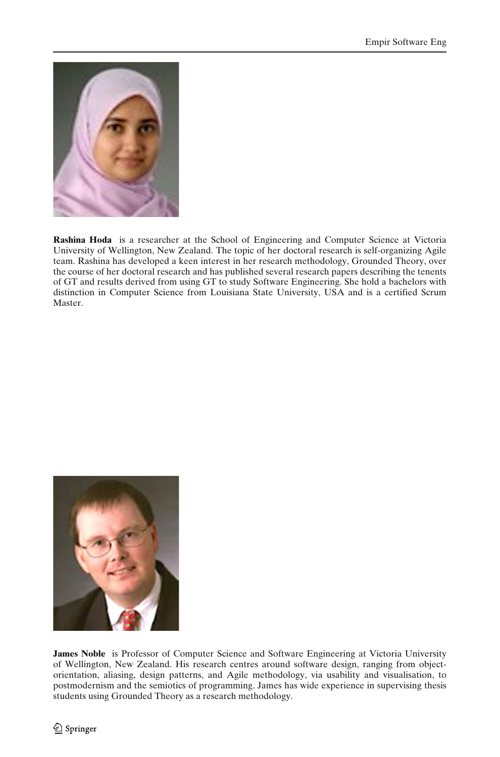

**Rashina Hoda** is a researcher at the School of Engineering and Computer Science at Victoria University of Wellington, New Zealand. The topic of her doctoral research is self-organizing Agile team. Rashina has developed a keen interest in her research methodology, Grounded Theory, over the course of her doctoral research and has published several research papers describing the tenents of GT and results derived from using GT to study Software Engineering. She hold a bachelors with distinction in Computer Science from Louisiana State University, USA and is a certified Scrum Master.



James Noble is Professor of Computer Science and Software Engineering at Victoria University of Wellington, New Zealand. His research centres around software design, ranging from objectorientation, aliasing, design patterns, and Agile methodology, via usability and visualisation, to postmodernism and the semiotics of programming. James has wide experience in supervising thesis students using Grounded Theory as a research methodology.